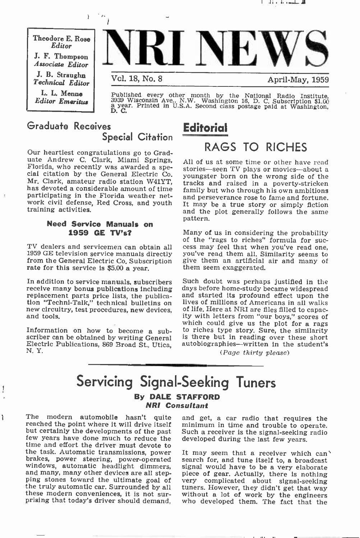Theodore E. Rose Editor J. F. Thompson Associate Editor J. B. Straughn Technical Editor L. L. Menne Editor Emeritus



Published every other month by the National Radio Institute, 3939 Wisconsin Ave., N.W. Washington 16, D. C. Subscription \$1.00 a year. Printed in U.S.A. Second class postage paid at Washington, D. C.

## Graduate Receives **Editorial** Special Citation

 $\mathbf{r}$ 

Our heartiest congratulations go to Graduate Andrew C. Clark, Miami Springs, All of us at some time or other have read Florida, who recently was awarded a spe-<br>cial citation by the General Electric Co. woungster born on the wrong side of the Mr. Clark, amateur radio station W41YT, tracks and raised in a poverty-stricken<br>has devoted a considerable amount of time family but who through his own ambitions participating in the Florida weather network civil defense, Red Cross, and youth training activities.

## Need Service Manuals on 1959 GE TV's?

<sup>1959</sup>GE television service manuals directly from the General Electric Co, Subscription rate for this service is \$5.00 a year.

In addition to service manuals, subscribers<br>receive many bonus publications including replacement parts price lists, the publication "Techni-Talk," technical bulletins on new circuitry, test procedures, new devices, and tools.

Information on how to become a subscriber can be obtained by writing General Electric Publications, 869 Broad St., Utica, N. Y.

1

ì

# RAGS TO RICHES

All of us at some time or other have read youngster born on the wrong side of the tracks and raised in a poverty-stricken and perseverance rose to fame and fortune. It may be a true story or simply fiction and the plot generally follows the same pattern.

of the "rags to riches" formula for suc-<br>TV dealers and servicemen can obtain all cess may feel that when you've read one,<br>1959 GE television service manuals directly you've read them all. Similarity seems to Many of us in considering the probability of the "rags to riches" formula for suc-<br>cess may feel that when you've read one, give them an artificial air and many of them seem exaggerated.

> Such doubt was perhaps justified in the days before home -study became widespread and started its profound effect upon the lives of millions of Americans in all walks<br>of life. Here at NRI are files filled to capacity with letters from "our boys," scores of which could give us the plot for a rags to riches type story. Sure, the similarity is there but in reading over these short autobiographies-written in the student's

(Page thirty please)

## Servicing Signal-Seeking Tuners By DALE STAFFORD NRI Consultant

The modern automobile hasn't quite and get, a car radio that requires the reached the point where it will drive itself minimum in time and trouble to operate. but certainly the developments of the past few years have done much to reduce the the task. Automatic transmissions, power<br>It may seem that a receiver which can't brakes, power steering, power-operated<br>search for, and tune itself to, a broadcast<br>windows, automatic headilght dimmers,<br>and many, many other

and get, a car radio that requires the Such a receiver is the signal-seeking radio. developed during the last few years.

the truly automatic car. Surrounded by all tuners. However, they didn't get that way these modern conveniences, it is not sur-<br>prising that today's driver should demand, who developed them. The fact that the search for, and tune itself to, a broadcast signal would have to be a very elaborate piece of gear. Actually, there is nothing without a lot of work by the engineers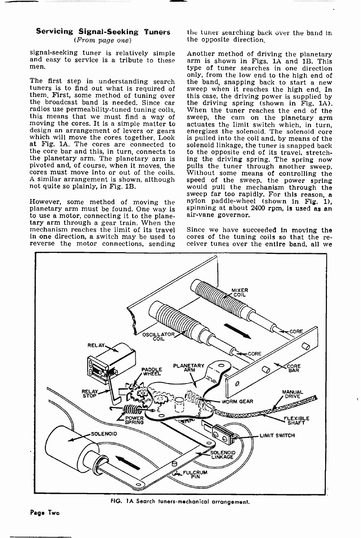## Servicing Signal-Seeking Tuners (From page one)

signal-seeking tuner is relatively simple and easy to service is a tribute to these men.

tuners is to find out what is required of sweep when it reaches the high end. In them. First, some method of tuning over this case, the driving power is supplied by them. First, some method of tuning over this case, the driving power is supplied by the broadcast band is needed. Since car the driving spring (shown in Fig. 1A), radios use permeability-tuned tuning coils, When the tuner moving the cores. It is a simple matter to actuates the limit switch which, in turn, design an arrangement of levers or gears energizes the solenoid. The solenoid core which will move the cores together. Look at Fig. 1A. The cores are connected to the core bar and this, in turn, connects to the opposite end of its travel, stretch-<br>the planetary arm. The planetary arm is ing the driving spring. The spring now the planetary arm. The planetary arm is pivoted and, of course, when it moves, the pulls the tuner through another sweep, cores must move into or out of the coils. Without some means of controlling the <sup>A</sup>similar arrangement is shown, although not quite so plainly, in Fig. 1B.

planetary arm must be found. One way is spinning at about<br>to use a motor connecting it to the plane. air-vane governor. to use a motor, connecting it to the plane-<br>tary arm through a gear train. When the<br>mechanism reaches the limit of its travel Since we have succeeded in moving the mechanism reaches the limit of its travel reverse the motor connections, sending

the tuner searching back over the band in the opposite direction.

The first step in understanding search the band, snapping back to start a new tuners is to find out what is required of sweep when it reaches the high end. In However, some method of moving the nylon paddle-wheel (shown in Fig. 1), planetary arm must be found. One way is spinning at about 2400 rpm, is used as an Another method of driving the planetary arm is shown in Figs. lA and 1B. This type of tuner searches in one direction only, from the low end to the high end of the band, snapping back to start a new the driving spring (shown in Fig. 1A). sweep, the cam on the planetary arm is pulled into the coil and, by means of the solenoid linkage, the tuner is snapped back to the opposite end of its travel, stretchpulls the tuner through another sweep. speed of the sweep, the power spring<br>would pull the mechanism through the<br>sweep far too rapidly. For this reason, a nylon paddle-wheel (shown in Fig. 1),

in one direction, a switch may be used to cores of the tuning coils so that the re-<br>reverse the motor connections, sending ceiver tunes over the entire band, all we cores of the tuning coils so that the re-



FIG. 1A Search tuners-mechanical arrangement.

Paga Two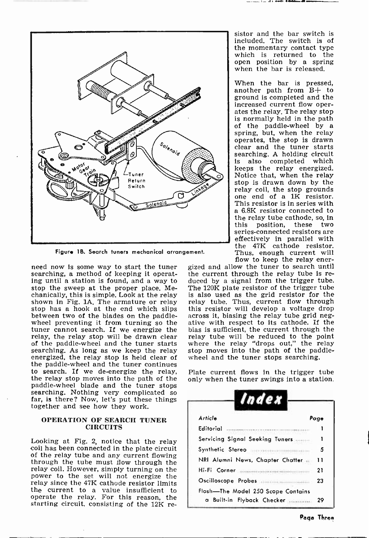

Figure 18. Search tuners mechanical arrangement.

ing until a station is found, and a way to stop the sweep at the proper place. Mechanically, this is simple. Look at the relay is also used as the grid resistor for the shown in Fig. 1A. The armature or relay relay tube. Thus, current flow through stop has a hook at the end which slips this resistor wi stop has a hook at the end which slips this resistor will develop a voltage drop<br>between two of the blades on the paddle- across it, biasing the relay tube grid neg-<br>wheel preventing it from turning so the ative with respe tuner cannot search. If we energize the bias is sufficient, the current through the relay, the relay stop will be drawn clear relay tube will be reduced to the point relay, the relay stop will be drawn clear of the paddle-wheel and the tuner starts<br>searching. As long as we keep the relay energized, the relay stop is held clear of wheel and the tuner stops searching. the paddle -wheel and the tuner continues to search. If we de-energize the relay, the relay stop moves into the path of the paddle-wheel blade and the tuner stops searching. Nothing very complicated so far, is there? Now, let's put these things together and see how they work.

#### OPERATION OF SEARCH TUNER **CIRCUITS**

Looking at Fig. 2, notice that the relay coil has been connected in the plate circuit through the tube must flow through the relay coil. However, simply turning on the power to the set will not energize the relay since the 47K cathode resistor limits the current to a value insufficient to operate the relay. For this reason, the starting circuit, consisting of the 12K resistor and the bar switch is included. The switch is of which is returned to the open position by a spring when the bar is released.

When the bar is pressed, another path from B+ to ground is completed and the increased current flow operates the relay. The relay stop is normally held in the path of the paddle -wheel by a spring, but, when the relay operates, the stop is drawn clear and the tuner starts searching. A holding circuit is also completed which<br>keeps the relay energized. Notice that, when the relay stop is drawn down by the<br>relay coil, the stop grounds one end of a  $1K$  resistor.<br>This resistor is in series with a 6.8K resistor connected to the relay tube cathode, so, in<br>this position, these two position, these two series -connected resistors are effectively in parallel with the 47K cathode resistor. Thus, enough current will flow to keep the relay ener-

need now is some way to start the tuner gized and allow the tuner to search until searching, a method of keeping it operat-<br>the current through the relay tube is regized and allow the tuner to search until duced by a signal from the trigger tube. The 120K plate resistor of the trigger tube is also used as the grid resistor for the relay tube. Thus, current flow through bias is sufficient, the current through the where the relay "drops out," the relay stop moves into the path of the paddle-

> Plate current flows In the trigger tube only when the tuner swings into a station.

| Index                              |      |
|------------------------------------|------|
| Article                            | Page |
| Editorial                          |      |
| Servicing Signal Seeking Tuners    |      |
| Synthetic Stereo                   | 5    |
| NRI Alumni News, Chapter Chatter   | 11   |
| Hi-Fi Corner                       | 21   |
| Oscilloscope Probes                | 23   |
| Flash-The Model 250 Scope Contains |      |
| a Built-in Flyback Checker         | 29   |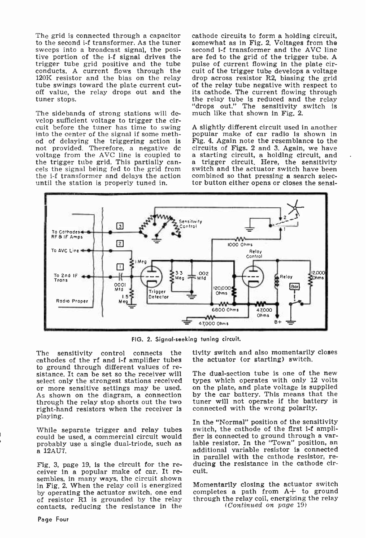The grid is connected through a capacitor to the second i-f transformer. As the tuner<br>sweeps into a broadcast signal, the positive portion of the i-f signal drives the trigger tube grid positive and the tube pulse of current flowing in the plate cir-<br>conducts. A current flows through the cuit of the trigger tube develops a voltage conducts. A current flows through the 120K resistor and the bias on the relay tube swings toward the plate current cuttube swings toward the plate current cut-<br>of the relay tube negative with respect to<br>off value, the relay drops out and the its cathode. The current flowing through<br>tuner stops. tuner stops.

The sidebands of strong stations will develop sufficient voltage to trigger the circuit before the tuner has time to swing into the center of the signal if some method of delaying the triggering action is Fig. 4. Again note the resemblance to the not provided. Therefore, a negative dc circuits of Figs. 2 and 3. Again, we have not provided. Therefore, a negative dc voltage from the AVC line is coupled to the trigger tube grid. This partially can- cels the signal being fed to the grid from cels the signal being fed to the grid from switch and the actuator switch have been<br>the  $i$ -f transformer and delays the action combined so that pressing a search selecuntil the station is properly tuned in.

cathode circuits to form a holding circuit, somewhat as in Fig. 2. Voltages from the second í-f transformer and the AVC line are fed to the grid of the trigger tube. A pulse of current flowing in the plate cirdrop across resistor R2, biasing the grid "drops out." The sensitivity switch is much like that shown in Fig. 2.

A slightly different circuit used In another popular make of car radio is shown in Fig. 4. Again note the resemblance to the a starting circuit, a holding circuit, and a trigger circuit. Here, the sensitivity combined so that pressing a search selector button either opens or closes the sensi-



FIG. 2. Signal -seeking tuning circuit.

The sensitivity control connects the cathodes of the rf and i-f amplifier tubes to ground through different values of re-<br>sistance. It can be set so the receiver will The dual-section tube is one of the new<br>select only the strongest stations received types which operates with only 12 volts or more sensitive settings may be used. As shown on the diagram, a connection through the relay stop shorts out the two right-hand resistors when the receiver is playing.

While separate trigger and relay tubes switch, the cathode of the first i-f ampli-<br>could be used a commercial circuit would fler is connected to ground through a varcould be used, a commercial circuit would fler is connected to ground through a var-<br>probably use a single dual-triode, such as a iable resistor. In the "Town" position, an probably use a single dual-triode, such as a 12AU7.

Fig. 3, page 19, is the circuit for the receiver in a popular make of car. It resembles, in many ways, the circuit shown in Fig. 2. When the relay coil is energized Momentarily closing the actuator switch<br>by operating the actuator switch, one end completes a path from  $A+$  to ground by operating the actuator switch, one end of resistor Rl is grounded by the relay contacts, reducing the resistance in the

tivity switch and also momentarily closes the actuator (or starting) switch.

on the plate, and plate voltage is supplied by the car battery. This means that the tuner will not operate if the battery is connected with the wrong polarity.

In the "Normal" position of the sensitivity switch, the cathode of the first i-f ampliadditional variable resistor is connected in parallel with the cathode resistor, reducing the resistance in the cathode circuit.

Momentarily closing the actuator switch through the relay coil, energizing the relay (Continued on page 19)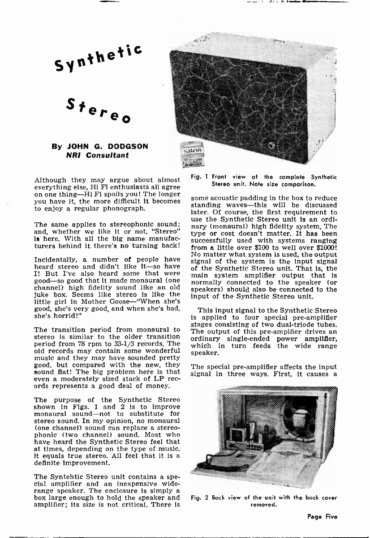Stereo

## By JOHN G. DODGSON NRI Consultant

Although they may argue about almost everything else, Hi Fi enthusiasts all agree on one thing-Hi Fi spoils you! The longer you have it, the more difficult it becomes to enjoy a regular phonograph.

and, whether we like it or not, "Stereo" is here. With all the big name manufac-

heard stereo and didn't like it—so have of the Synthetic Stereo unit. That is, the I! But I've also heard some that were good system amplifier output that is good-so good that it made monaural (one approximately connected to the speaker (or channel) high fidelity sound like an old juke box. Seems like stereo is like the little girl in Mother Goose-"When she's good, she's very good, and when she's bad, she's horrid!"

stereo is similar to the older transition period from 78 rpm to 33-1/3 records. The which in turn feeds the wide range old records may contain some wonderful speaker. music and they may have sounded pretty<br>good, but compared with the new, they sound flat! The big problem here is that even a moderately sized stack of LP rec- ords represents a good deal of money.

The purpose of the Synthetic Stereo shown in Figs. 1 and 2 is to improve monaural sound-not to substitute for stereo sound. In my opinion, no monaural (one channel) sound can replace a stereophonic (two channel) sound. Most who have heard the Synthetic Stereo feel that at times, depending on the type of music, it equals true stereo. All feel that it is a definite improvement.

The Syntehtic Stereo unit contains a spe-<br>cial amplifier and an inexpensive wide-<br>range speaker. The enclosure is simply a<br>box large enough to hold the speaker and amplifier; its size is not critical. There is



Fig. 1 Front view of the complete Synthetic Stereo unit. Note size comparison.

use the Synthetic Stereo unit is an ordi-<br>The same applies to stereophonic sound; nary (monaural) high fidelity system The turers behind it there's no turning back! from a little over \$100 to well over \$1000! No matter what system is used, the output<br>Incidentally, a number of people have signal of the system is the input signal some acoustic padding in the box to reduce standing waves-this will be discussed later. Of course, the first requirement to use the Synthetic Stereo unit Is an ordinary (monaural) high fidelity system. The type or cost doesn't matter. It has been successfully used with systems ranging signal of the system is the input signal main system amplifier output that is speakers) should also be connected to the input of the Synthetic Stereo unit.

The transition period from monaural to The output of this pre-ampifier drives an This input signal to the Synthetic Stereo is applied to four special pre-amplifier stages consisting of two dual-triode tubes. ordinary single-ended power amplifier,

The special pre-amplifier affects the input signal in three ways. First, it causes a



Fig. 2 Back view of the unit with the back cover removed.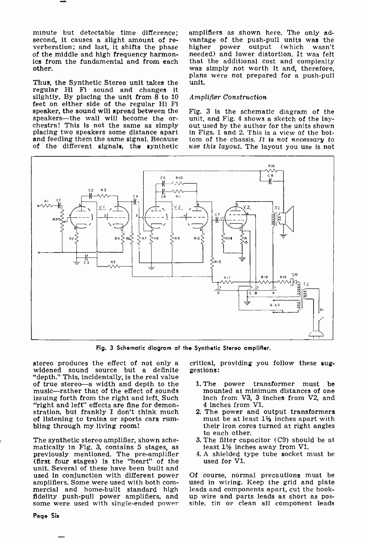minute but detectable time difference;<br>second, it causes a slight amount of reverberation; and last, it shifts the phase higher of the middle and high frequency harmonics from the fundamental and from each that the additional cost and complexity other.

Thus, the Synthetic Stereo unit takes the unit, regular Hi Fi sound and changes it slightly. By placing the unit from  $8$  to  $10$  A feet on either side of the regular Hi FI speaker, the sound will spread between the speakers—the wall will become the orchestra! This is not the same as simply out used by the author for the units shown<br>placing two speakers some distance apart in Figs. 1 and 2. This is a view of the bot-<br>and feeding them the same signal. Because tom of the of the different signals, the synthetic

amplifiers as shown here. The only advantage of the push-pull units was the<br>higher power output (which wasn't higher power output (which wasn't needed) and lower distortion. It was felt was simply not worth it and, therefore, plans were not prepared for a push-pull

#### Amplifier Construction

Fig. 3 is the schematic diagram of the unit, and Fig. 4 shows a sketch of the layout used by the author for the units shown in Figs. 1 and 2. This is a view of the bottom of the chassis. It is not necessary to



Fig. 3 Schematic diagram of the Synthetic Stereo amplifier.

stereo produces the effect of not only a critical, widened sound source but a definite gestions: "depth." This, incidentally, is the real value of true stereo-a width and depth to the music-rather that of the effect of sounds issuing forth from the right and left. Such "right and left" effects are fine for demonstration, but frankly I don't think much of listening to trains or sports cars rumbling through my living room!

The synthetic stereo amplifier, shown sche-<br>matically in Fig. 3, contains 5 stages, as previously mentioned. The pre-amplifier (first four stages) is the "heart" of the unit. Several of these have been built and used in conjunction with different power mercial and home-built standard high leads and components apart, cut the hook-<br>fidelity push-pull power amplifiers, and up wire and parts leads as short as pos-<br>some were used with single-ended power sible, tin or clean al

critical, providing you follow these sug-

- 1. The power transformer must be mounted at minimum distances of one inch from V3, 3 inches from V2, and 4 inches from V1.
- 2. The power and output transformers must be at least 11/2 inches apart with their iron cores turned at right angles to each other.
- 3. The filter capacitor (C9) should be at least  $1\frac{1}{2}$  inches away from V1.
- 4. A shielded type tube socket must be used for Vl.

Of course, normal precautions must be used in wiring. Keep the grid and plate up wire and parts leads as short as possible, tin or clean all component leads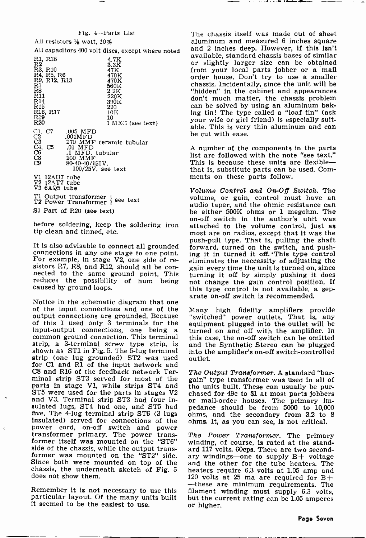#### Fig. 4-Parts List

All resistors  $\frac{1}{2}$  watt, 10% R1, R18<br>R2<br>R3, R10<br>R4, R5, R6<br>R9, R12, R13  $\overset{\text{R7}}{\phantom{1}\text{R8}}_{\phantom{1}\text{R11}}$ R<sub>14</sub><br>R<sub>15</sub> R15<br>R16, R17<br>R19 R20 C<sub>1</sub> C<sub>2</sub> (<br>C<sub>3</sub> 2<br>C<sub>4</sub> C<sub>5</sub> 2 C8 C9  $\frac{4.7 \text{K}}{3.3 \text{K}}$ 47K 470K 470K 560K 2.2K 220K 390K 220 10K 10 <sup>1</sup>MEG (see text) .005 MFD .001MFD 270 MMF ceramic tubular<br>.01 MFD .01 MFD<br>.1 MFD. tubular<br>200 MMF  $100/25V$ , see text Vi 12AU7 tube V2 12AT7 tube V3 6AQ5 tube

T1 Output transformer { see text<br>T2 Power Transformer { see text

S1 Part of R20 (see text)

tip clean and tinned, etc.

reduces the possibility of hum being caused by ground loops.

Arate on-off switch is recommended.<br>Notice in the schematic diagram that one<br>of the  $\frac{1}{100}$  and  $\frac{1}{100}$  and  $\frac{1}{100}$  and  $\frac{1}{100}$  and  $\frac{1}{100}$  and  $\frac{1}{100}$  and  $\frac{1}{100}$  and  $\frac{1}{100}$  and  $\frac{1}{100}$ output connections are grounded. Because "switched" power outlets. That is, any of this I used only 3 terminals for the equipment plugged into the outlet will be of this I used only 3 terminals for the<br>input-output connections, one being a common ground connection. This terminal strip, a 3-terminal screw type strip, is and the Synthetic Stereo can be plugged shown as ST1 in Fig. 5. The 5-lug terminal into the amplifier's on-off switch-controlled shown as ST1 in Fig. 5. The 5-lug terminal strip (one lug grounded) ST2 was used for C1 and R1 of the input network and C8 and R16 of the feedback network Terminal strip ST3 served for most of the gain" type transformer was used in all of parts in stage V1, while strips ST4 and the units built. These can usually be purparts in stage V1, while strips ST4 and the units built. These can usually be pur-<br>ST5 were used for the parts in stages V2 chased for 49c to \$1 at most parts jobbers ST5 were used for the parts in stages V2 and V3. Terminal strip ST3 had four insulated lugs, ST4 had one, and ST5 had five. The 4-lug terminal strip ST6 (3 lugs insulated) served for connections of the power cord, on-off switch and power transformer primary. The power transformer itself was mounted on the "ST6" winding, of course, is rated at the standside of the chassis, while the output transformer was mounted on the "ST2" side. ary windings—one to supply B+ voltage Since both were mounted on top of the chassis, the underneath sketch of Fig. <sup>5</sup> does not show them.

it seemed to be the easiest to use.

All capacitors 400 volt discs, except where noted and 2 inches deep. However, it this is a red available. Standard chassis bases of similar The chassis itself was made out of sheet aluminum and measured 6 inches square and 2 inches deep. However, if this isn't or slightly larger size can be obtained from your local parts jobber or a mail order house. Don't try to use a smaller chassis. Incidentally, since the unit will be "hidden" in the cabinet and appearances don't much matter, the chassis problem can be solved by using an aluminum baking tin! The type called a "loaf tin" (ask your wife or girl friend) is especially suitable. This is very thin aluminum and can be cut with ease.

> <sup>A</sup>number of the components in the parts list are followed with the note "see text." This is because these units are flexiblethat is, substitute parts can be used. Comments on these parts follow.

on-off switch in the author's unit was<br>before soldering, keep the soldering iron attached to the volume control, just as It is also advisable to connect all grounded<br>connections in any one stage to one point. For example, in stage V2, one side of re-<br> $\frac{1}{2}$  in stage V2, one side of re-<br>sistors R7, R8, and R12, should all be con- gain eve Volume Control and On -Off Switch. The volume, or gain, control must have an audio taper, and the ohmic resistance can be either 500K ohms or 1 megohm. The attached to the volume control, just as most are on radios, except that it was the push-pull type. That is, pulling the shaft forward, turned on the switch, and push- ing it in turned it off. .This type control eliminates the neccessity of adjusting the gain every time the unit is turned on, since turning it off by simply pushing it does not change the gain control position. If this type control is not available, a sep-

> "switched" power outlets. That is, any turned on and off with the amplifier. In this case, the on -off switch can be omitted and the Synthetic Stereo can be plugged outlet.

> The Output Transformer. A standard "bargain" type transformer was used in all of or mail-order houses. The primary impedance should be from 5000 to 10,000 ohms, and the secondary from 3.2 to 8 ohms. It, as you can see, is not critical.

--these are minimum requirements. The<br>Remember it is not necessary to use this filament winding must supply 6.3 volts,<br>particular layout. Of the many units built but the current rating can be 1.05 amperes The Power Transformer. The primary ard 117 volts, 60cps. There are two secondand the other for the tube heaters. The heaters require 6.3 volts at 1.05 amp and 120 volts at 25 ma are required for  $B+$ filament winding must supply 6.3 volts, but the current rating can be 1.05 amperes or higher.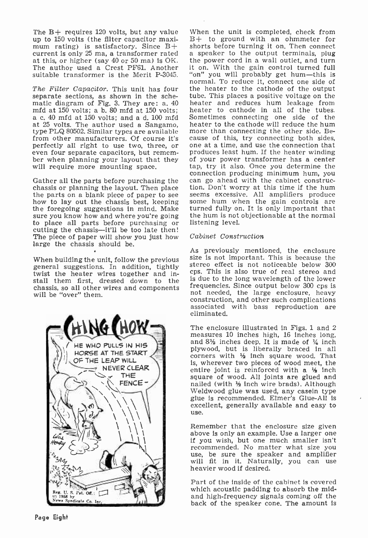The  $B+$  requires 120 volts, but any value<br>up to 150 volts (the filter capacitor maximum rating) is satisfactory. Since  $B+$  shorts before turning it on, Then connect current is only 25 ma, a transformer rated a speaker to the output terminals, plug current is only 25 ma, a transformer rated a speaker to the output terminals, plug at this, or higher (say  $40$  or  $50$  ma) is OK. the power cord in a wall outlet, and turn at this, or higher (say 40 or 50 ma) is OK. The author used a Crest PF61. Another it suitable transformer is the Merit P-3045.

The Filter Capacitor. This unit has four the heater to the cathode of the output separate sections, as shown in the sche-<br>tube. This places a positive voltage on the separate separate separate sections. separate sections, as shown in the schematic diagram of Fig. 3. They are: a. 40<br>mfd at 150 volts; a b. 80 mfd at 150 volts; a c. 40 mfd at 150 volts; and a d. 100 mfd Sometimes connecting one side of the at 25 volts. The author used a Sangamo. heater to the cathode will reduce the hum at 25 volts. The author used a Sangamo, heater to the cathode will reduce the hum type PLQ 80502. Similar types are available more than connecting the other side. Betype PLQ 80502. Similar types are available more than connecting the other side. Be-<br>from other manufacturers. Of course it's cause of this, try connecting both sides. from other manufacturers. Of course it's even four separate capacitors, but remem-<br>ber when planning your layout that they<br>will require more mounting space.

Gather all the parts before purchasing the can go ahead with the cabinet construc-<br>chassis or planning the layout. Then place tion. Don't worry at this time if the hum the parts on a blank piece of paper to see seems excessive. All amplifiers produce how to lay out the chassis best, keeping some hum when the gain controls are the foregoing suggestions in mind. Make turned fully on. It is sure you know how and where you're going to place all parts before purchasing or cutting the chassis-it'll be too late then! The piece of paper will show you just how large the chassis should be.

When building the unit, follow the previous general suggestions. In addition, tightly twist the heater wires together and install them first, dressed down to the chassis, so all other wires and components will be "over" them.



When the unit is completed, check from B+ to ground with an ohmmeter for shorts before turning it on. Then connect it on. With the gain control turned full "on" you will probably get hum-this is normal. To reduce it, connect one side of the heater to the cathode of the output heater and reduces hum leakage from heater to cathode in all of the tubes. Sometimes connecting one side of the one at a time, and use the connection that produces least hum. If the heater winding of your power transformer has a center tap, try it also. Once you determine the connection producing minimum hum, you can go ahead with the cabinet construcseems excessive. All amplifiers produce turned fully on. It is only important that the hum is not objectionable at the normal listening level.

#### Cabinet Construction

As previously mentioned, the enclosure size is not important. This is because the stereo effect is not noticeable below 300 cps. This is also true of real stereo and is due to the long wavelength of the lower frequencies. Since output below 300 cps is not needed, the large enclosure, heavy construction, and other such complications associated with bass reproduction are eliminated.

The enclosure illustrated in Figs. 1 and 2 measures 10 inches high, 16 inches long, and  $8\frac{1}{2}$  inches deep. It is made of  $\frac{1}{4}$  inch plywood, but is liberally braced in all corners with  $\frac{1}{2}$  inch square wood. That is, wherever two pieces of wood meet, the entire joint is reinforced with a  $\frac{1}{2}$  inch square of wood. All joints are glued and nailed (with  $\frac{1}{2}$  inch wire brads). Although Weldwood glue was used, any case in type glue is recommended. Elmer's Glue-All is excellent, generally available and easy to use.

Remember that the enclosure size given<br>above is only an example. Use a larger one if you wish, but one much smaller isn't recommended. No matter what size you use, be sure the speaker and amplifier will fit in it. Naturally, you can use heavier wood if desired.

Part of the inside of the cabinet is covered<br>which acoustic padding to absorb the midand high-frequency signals coming off the back of the speaker cone. The amount Is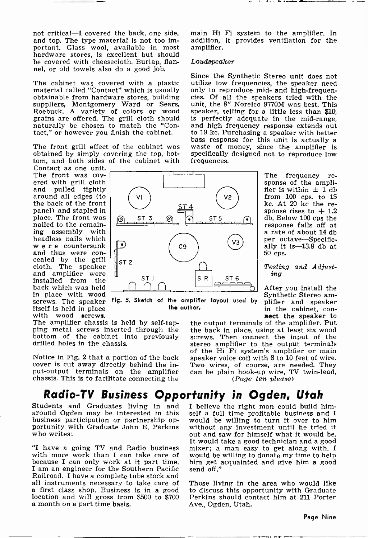not critical-I covered the back, one side, and top. The type material is not too important. Glass wool, available in most hardware stores, is excellent but should be covered with cheesecloth. Burlap, flannel, or old towels also do a good job.

The cabinet was covered with a plastic utimaterial called "Contact" which is usually on obtainable from hardware stores, building cies<br>suppliers, Montgomery Ward or Sears, un Roebuck. A variety of colors or wood grains are offered. The grill cloth should is perfectly adequate in the mid-range, naturally be chosen to match the "Contact," or however you finish the cabinet.

The front grill effect of the cabinet was obtained by simply covering the top, bottom, and both sides of the cabinet with

Contact as one unit. The front was covered with grill cloth<br>and pulled tightly around all edges (to the back of the front panel) and stapled in place. The front was nailed to the remaining assembly with w e r e countersunk<br>and thus were concealed by the grill cloth. The speaker and amplifier were installed from the back which was held<br>in place with wood

in the speaker in the speaker in the speaker itself is held in place the speaker in the cabinet, con-<br>with wood screws.<br>The amplifier chassis is held by self-tap-<br>ping metal screws inserted through the the back in place, u bottom of the cabinet into previously drilled holes in the chassis.

Notice in Fig. 2 that a portion of the back cover is cut away directly behind the incover is cut away directly behind the in-<br>put-output terminals on the amplifier can be plain hook-up wire, TV twin-lead,<br>chassis. This is to facilitate connecting the  $(Page \text{ } ten \text{ } please)$ 

main Hi Fi system to the amplifier. In addition, it provides ventilation for the amplifier.

. . . . . . . . .

#### Loudspeaker

Since the Synthetic Stereo unit does not utilize low frequencies, the speaker need<br>only to reproduce mid- and high-frequencies. Of all the speakers tried with the unit, the 8" Norelco 9770M was best. This speaker, selling for a little less than \$10, and high frequency response extends out to 19 kc. Purchasing a speaker with better bass response for this unit is actually a waste of money, since the amplifier is specifically designed not to reproduce low frequences.

> $\begin{array}{c|c}\n\text{ST 5} & \text{qb. Below 100 cps the} \\
> \hline\n\text{response falls off at}\n\end{array}$  $\mathsf{V3}$  ally it is -13.8 db at The frequency re-<br>sponse of the ampli-<br>fier is within  $\pm$  1 db from 100 cps. to 15<br>kc. At 20 kc the response rises to  $+1.2$ response falls off at a rate of about 14 db per octave-Specific-50 cps.

> > Testing and Adjust- ing

Fig. 5. Sketch of the amplifier layout used by plifler and speaker After you install the plifier and speaker<br>in the cabinet, connect the speaker to

the output terminals of the amplifier. Put the back in place, using at least six wood stereo amplifier to the output terminals of the Hi Fi system's amplifier or main speaker voice coil with 8 to 10 feet of wire. can be plain hook-up wire, TV twin-lead, (Page ten please)

I believe the right man could build himself a full time profitable business and I would be willing to turn it over to him without any investment until he tried it out and saw for himself what it would be.<br>It would take a good technician and a good mixer; a man easy to get along with. I would be willing to donate my time to help

Those living in the area who would like to discuss this opportunity with Graduate Perkins should contact him at 211 Porter

Ave., Ogden, Utah.

## Radio-TV Business Opportunity in Ogden, Utah

Students and Graduates living in and around Ogden may be interested in this business participation or partnership op-<br>portunity with Graduate John E. Perkins who writes:

"I have a going TV and Radio business with more work than I can take care of because I can only work at it part time. him get acquainted and give him a good I am an engineer for the Southern Pacific send off." I am an engineer for the Southern Pacific Railroad. I have a complete tube stock and all instruments necessary to take care of<br>a first class shop. Business is in a good<br>location and will gross from \$500 to \$700<br>a month on a part time basis.

Page Nine

٧l ST 4 <u>st 3 n d d 3</u>  $C9$ ST<sub>2</sub> ST 6

the author.

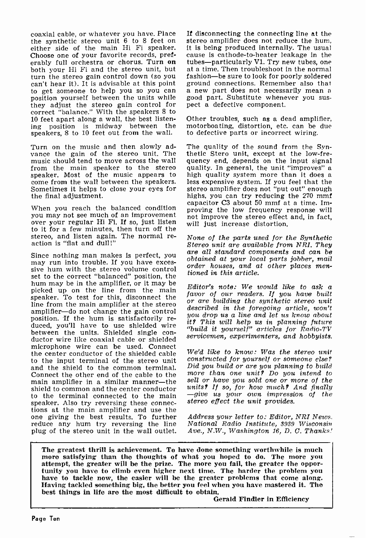coaxial cable, or whatever you have. Place either side of the main Hi Fi speaker. it is being produced internally. The usual Choose one of your favorite records, pref. cause is cathode-to-heater leakage in the Choose one of your favorite records, pref-<br>erably full orchestra or chorus. Turn on both your Hi Fi and the stereo unit, but at a time. Then troubleshoot in the normal turn the stereo gain control down (so you fashion—be sure to look for poorly soldered can't hear it). It is advisable at this point ground connections. Remember also that can't hear it). It is advisable at this point to get someone to help you so you can a new part does not necessarily mean a position yourself between the units while good part. Substitute whenever you sus-<br>they adjust the stereo gain control for pect a defective compon they adjust the stereo gain control for correct "balance." With the speakers 8 to<br>10 feet apart along a wall, the best listen- Other troubles, such as a dead amplifier, 10 feet apart along a wall, the best listening position is midway between the speakers, 8 to 10 feet out from the wall.

Turn on the music and then slowly ad-<br>vance the gain of the stereo unit. The thetic Stero unit, except at the low-fre-<br>music should tend to move across the wall quency end, depends on the input signal music should tend to move across the wall from the main speaker to the stereo quality. In general, the unit "improves" a speaker. Most of the music appears to high quality system more than it does a speaker. Most of the music appears to high quality system more than it does a come from the wall between the speakers. less expensive system. If you feel that the Sometimes it helps to close your eyes for stereo amplifier Sometimes it helps to close your eyes for the final adjustment.

When you reach the balanced condition<br>you may not see much of an improvement over your regular Hi Fi. If so, just listen to it for a few minutes, then turn off the<br>stereo, and listen again. The normal re-<br>None of the parts used for the Synthetic stereo, and listen again. The normal re- action is "flat and dull!"

Since nothing man makes is perfect, you may run into trouble. If you have exces-<br>sive hum with the stereo volume control tioned in this article. set to the correct "balanced" position, the hum may be in the amplifier, or it may be<br>ideal we can the line from the main  $Editor's$  note: We would like to ask a picked up on the line from the main speaker. To test for this, disconnect the  $\frac{1}{2}$  fuvor of our reducts. If you have ould line from the main amplifier at the stereo amplifier-do not change the gain control<br>position. If the hum is satisfactorily reduced, you'll have to use shielded wire<br>between the units. Shielded single conductor wire like coaxial cable or shielded microphone wire can be used. Connect the center conductor of the shielded cable to the input terminal of the stereo unit constructed for yourself or someone else?<br>and the shield to the common terminal Did you build or are you planning to build and the shield to the common terminal. Connect the other end of the cable to the main amplifier in a similar manner-the shield to common and the center conductor units? If so, for how much? And finally<br>to the terminal connected to the main  $-give$  us your own impression of the to the terminal connected to the main speaker. Also try reversing these connections at the main amplifier and use the one giving the best results. To further reduce any hum try reversing the line plug of the stereo unit in the wall outlet.

If disconnecting the connecting line at the stereo amplifier does not reduce the hum, it is being produced internally. The usual tubes-particularly V1. Try new tubes, one fashion-be sure to look for poorly soldered a new part does not necessarily mean a

motorboating, distortion, etc. can be due to defective parts or incorrect wiring.

thetic Stero unit, except at the low-frequality. In general, the unit "improves" a highs, you can try reducing the 270 mmf capacitor C3 about 50 mmf at a time. Improving the low frequency response will not improve the stereo effect and, in fact, will just increase distortion.

Stereo unit are available from NRI. They are all standard components and can be obtained at your local parts jobber, mail order houses, and at other places men-

favor of our readers. If you have built described in the foregoing article, won't you drop us a line and let us know about it? This will help us in planning future "build it yourself" articles for Radio-TV servicemen, experimenters, and hobbyists.

We'd like to know: Was the stereo unit constructed for yourself or someone else? more than one unit? Do you intend to sell or have you sold one or more of the units? If so, for how much? And finally stereo effect the unit provides.

Address your letter to: Editor, NRI News. National Radio Institute, 3939 Wisconsin Ave., N.W., Washington 16, D. C. Thanks!

The greatest thrill is achievement. To have done something worthwhile is much more satisfying than the thoughts of what you hoped to do. The more you attempt, the greater will be the prize. The more you fail, the greater the opportunity you have to climb even higher next time. The harder the problem you have to tackle now, the easier will be the greater problems that co best things in life are the most difficult to obtain.

Gerald Findler in Efficiency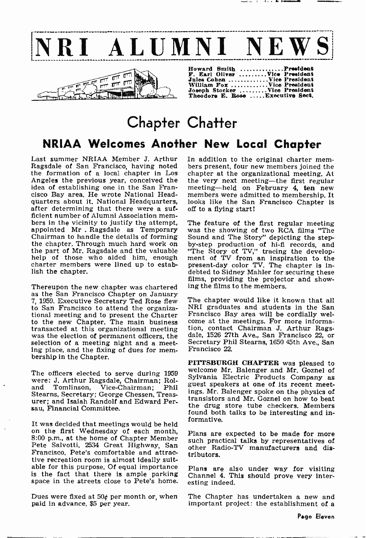



| Howard Smith President            |
|-----------------------------------|
| F. Earl Oliver Vice President     |
| Jules Cohen Vice President        |
| William Fox Vice President        |
| Joseph Stocker Vice President     |
| Theodore E. Rose  Executive Sect. |

# Chapter Chatter NRIAA Welcomes Another New Local Chapter

Last summer NRIAA Member J. Arthur In addition to the original charter mem-Ragsdale of San Francisco, having noted bers present, four new members joined the Ragsdale of San Francisco, having noted the formation of a local chapter in Los chapter at the organizational meeting. At Angeles the previous year, conceived the the very next meeting—the first regular Angeles the previous year, conceived the the very next meeting—the first regular idea of establishing one in the San Fran- meeting—held on February 4, ten new idea of establishing one in the San Francisco Bay area. He wrote National Headquarters about it. National Headquarters,<br>after determining that there were a suf-<br>ficient number of Alumni Association members in the vicinity to justify the attempt, The feature of the first regular meeting<br>appointed Mr. Ragsdale as Temporary was the showing of two RCA films "The<br>Chairman to handle the details of forming Sound and The Story" help of those who aided him, enough charter members were lined up to establish the chapter.

Thereupon the new chapter was chartered as the San Francisco Chapter on January 7, 1959. Executive Secretary Ted Rose flew<br>to San Francisco to attend the organizational meeting and to present the Charter Francisco Bay area will be cordially welto the new Chapter. The main business come at the meetings. For more informa-<br>transacted at this organizational meeting tion, contact Chairman J. Arthur Ragswas the election of permanent officers, the dale, 1526 27th Ave., San Francisco 22, or selection of a meeting night and a meet. Secretary Phil Stearns, 1650 45th Ave., San selection of a meeting night and a meeting place, and the fixing of dues for mem- bership in the Chapter.

The officers elected to serve during 1959 were: J. Arthur Ragsdale, Chairman; Roland Tomlinson, Vice-Chairman; Phil gue<br>Stearns, Secretary; George Chessen, Treas-<br> urer; and Isaiah Randolf and Edward Per-<br>sau, Financial Committee.

It was decided that meetings would be held on the first Wednesday of each month, 8:00 p.m., at the home of Chapter Member Pete Salvotti, 2534 Great Highway, San Francisco. Pete's comfortable and attractive recreation room is almost ideally suitable for this purpose. Of equal importance Plans are also under way for visiting is the fact that there is ample parking space in the streets close to Pete's home.

Dues were fixed at  $50¢$  per month or, when paid in advance, \$5 per year.

In addition to the original charter memchapter at the organizational meeting. At members were admitted to membership. It looks like the San Francisco Chapter is off to a flying start!

The feature of the first regular meeting Sound and The Story" depicting the step- by-step production of hi-fi records, and "The Story of TV," tracing the develop-<br>ment of TV from an inspiration to the<br>present-day color TV. The chapter is indebted to Sidney Mahler for securing these films, providing the projector and showing the films to the members.

The chapter would like it known that all NRI graduates and students in the San come at the meetings. For more informadale, 1526 27th Ave., San Francisco 22, or Francisco 22.

PITTSBURGH CHAPTER was pleased to welcome Mr. Balenger and Mr. Goznel of<br>Sylvania Electric Products Company as guest speakers at one of its recent meetings. Mr. Balenger spoke on the physics of transistors and Mr. Goznel on how to beat the drug store tube checkers. Members found both talks to be interesting and informative.

Plans are expected to be made for more such practical talks by representatives of other Radio-TV manufacturers and distributors.

Channel 4. This should prove very interesting indeed.

The Chapter has undertaken a new and important project: the establishment of a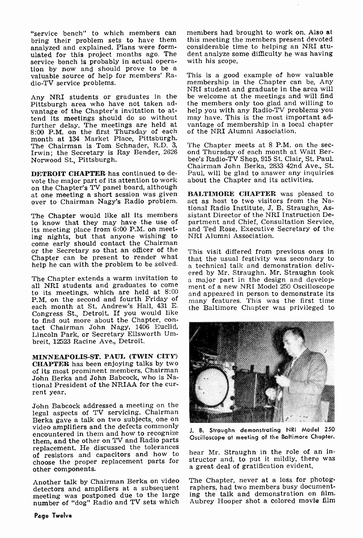"service bench" to which members can bring their problem sets to have them analyzed and explained. Plans were formulated for this project months ago. The service bench is probably in actual operation by now and should prove to be a valuable source of help for members' Radio-TV service problems.

Any NRI students or graduates in the Pittsburgh area who have not taken advantage of the Chapter's invitation to attend its meetings should do so without further delay. The meetings are held at 8:00 P.M. on the first Thursday of each month at 134 Market Place, Pittsburgh.<br>The Chairman is Tom Schnader, R.D. 3, The Chapter meets at 8 P.M. on the sec-The Chairman is Tom Schnader, R.D. 3, The Chapter meets at 8 P.M. on the sec-<br>Irwin: the Secretary is Ray Bender, 2626 ond Thursday of each month at Walt Ber-Irwin; the Secretary is Ray Bender, 2626 Norwood St., Pittsburgh.

**DETROIT CHAPTER** has continued to devote the major part of its attention to work on the Chapter's TV panel board, although<br>at one meeting a short session was given over to Chairman Nagy's Radio problem.

The Chapter would like all its members to know that they may have the use of its meeting place from 6:00 P.M. on meeting nights, but that anyone wishing to come early should contact the Chairman or the Secretary so that an officer of the help he can with the problem to be solved.

to its meetings, which are held at  $8.00$  and appeared in person to demonstrate its P.M. on the second and fourth Friday of each month at St. Andrew's Hall, 431 E. Congress St., Detroit. If you would like to find out more about the Chapter, contact Chairman John Nagy, 1406 Euclid, Lincoln Park, or Secretary Ellsworth Umbreit, 12523 Racine Ave., Detroit.

MINNEAPOLIS -ST. PAUL (TWIN CITY) CHAPTER has been enjoying talks by two of its most prominent members, Chairman John Berka and John Babcock, who is National President of the NRIAA for the cur- rent year.

John Babcock addressed a meeting on the legal aspects of TV servicing. Chairman Berka gave a talk on two subjects, one on video amplifiers and the defects commonly encountered in them and how to recognize them, and the other on TV and Radio parts replacement. He discussed the tolerances of resistors and capacitors and how to choose the proper replacement parts for structor and, to put it miliary, then<br>a great deal of gratification evident, other components.

Another talk by Chairman Berka on video detectors and amplifiers at a subsequent meeting was postponed due to the large number of "dog" Radio and TV sets which

members had brought to work on. Also at this meeting the members present devoted considerable time to helping an NRI student analyze some difficulty he was having with his scope.

This is a good example of how valuable membership in the Chapter can be. Any NRI student and graduate in the area will be welcome at the meetings and will find the members only too glad and willing to help you with any Radio-TV problems you may have. This is the most important advantage of membership in a local chapter of the NRI Alumni Association.

bee's Radio-TV Shop, 915 St. Clair, St. Paul. Chairman John Berka, 2833 42nd Ave., St. about the Chapter and its activities.

BALTIMORE CHAPTER was pleased to act as host to two visitors from the National Radio Institute, J. B. Straughn, Assistant Director of the NRI Instruction Department and Chief, Consultation Service, and Ted Rose, Executive Secretary of the NRI Alumni Association.

Chapter can be present to render what that the usual festivity was secondary to help he can with the problem to be solved.  $\alpha$  technical talk and demonstration deliv-The Chapter extends a warm invitation to  $\frac{1}{2}$  and  $\frac{1}{2}$  in the design and develop-<br>all NRI students and graduates to come  $\frac{1}{2}$  ment of a new NRI Model 250 Oscilloscope This visit differed from previous ones in that the usual festivity was secondary to ered by Mr. Straughn. Mr. Straughn took ment of a new NRI Model 250 Oscilloscope many features. This was the first time the Baltimore Chapter was privileged to



J. B. Straughn demonstrating NRI Model 250 Oscilloscope at meeting of the Baltimore Chapter.

hear Mr. Straughn in the role of an instructor and, to put it mildly, there was

The Chapter, never at a loss for photographers, had two members busy documenting the talk and demonstration on film. Aubrey Hooper shot a colored movie film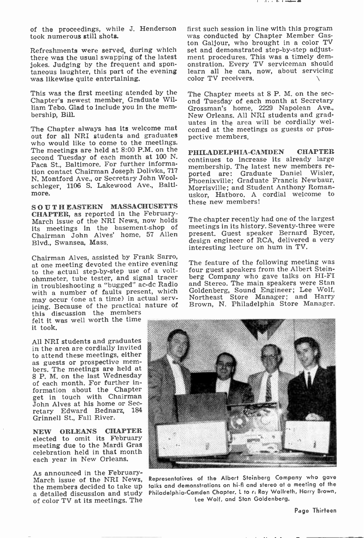took numerous still shots.

Refreshments were served, during which there was the usual swapping of the latest jokes. Judging by the frequent and spontaneous laughter, this part of the evening was likewise quite entertaining.

This was the first meeting atended by the  $\tau$  The Chapter meets at 8 P. M. on the sec-Chapter's newest member, Graduate William Tebo. Glad to include you in the mem- bership, Bill.

The Chapter always has its welcome mat out for all NRI students and graduates who would like to come to the meetings. The meetings are held at 8:00 P.M. on the second Tuesday of each month at 100 N. Paca St., Baltimore. For further information contact Chairman Joseph Dolivka, 717 networks are: Graduate Daniel Wisler, N. Montford Ave., or Secretary John Woolschleger, 1106 S. Lakewood Ave., Balti-<br>more.

SOUTHEASTERN MASSACHUSETTS<br>CHAPTER, as reported in the February-March issue of the NRI News, now holds The chapter recently had one of the largest<br>its meetings in the hasement-shop of meetings in its history. Seventy-three were its meetings in the basement -shop of Chairman John Alves' home, 57 Allen Blvd., Swansea, Mass.

Chairman Alves, assisted by Frank Sarro,<br>at ano meeting devoted the entire evening The feature of the following meeting was at one meeting devoted the entire evening to the actual step-by-step use of a volt-<br>ohmmeter, tube tester, and signal tracer in troubleshooting a "bugged" ac-dc Radio with a number of faults present, which may occur (one at a time) in actual serv- icing. Because of the practical nature of this discussion the members

felt it was well worth the time it took.

All NRI students and graduates in the area are cordially invited as guests or prospective mem-<br>bers. The meetings are held at 8 P. M. on the last Wednesday of each month. For further information about the Chapter get in touch with Chairman John Alves at his home or Secretary Edward Bednarz, 184 Grinnell St., Fall River.

NEW ORLEANS CHAPTER elected to omit its February meeting due to the Mardi Gras celebration held in that month each year in New Orleans.

As announced in the February-<br>March issue of the NRI News,<br>the members decided to take up a detailed discussion and study of color TV at its meetings. The

of the proceedings, while J. Henderson first such session in line with this program was conducted by Chapter Member Gaston Galjour, who brought in a color TV set and demonstrated step-by-step adjustment procedures. This was a timely demonstration. Every TV serviceman should learn all he can, now, about servicing color TV receivers.

> ond Tuesday of each month at Secretary Grossman's home, 2229 Napolean Ave., New Orleans. All NRI students and graduates in the area will be cordially welcomed at the meetings as guests or prospective members.

> PHILADELPHIA-CAMDEN CHAPTER continues to increase its already large membership. The latest new members re-Phoenixville; Graduate Francis Newbaur, Morrisville; and Student Anthony Romanuskor, Hatboro. A cordial welcome to these new members!

The chapter recently had one of the largest meetings in its history. Seventy-three were present. Guest speaker Bernard Bycer, design engineer of RCA, delivered a very interesting lecture on hum in TV.

four guest speakers from the Albert Steinberg Company who gave talks on HI-FI and Stereo. The main speakers were Stan Goldenberg, Sound Engineer; Lee Wolf, Northeast Store Manager; and Harry Brown, N. Philadelphia Store Manager.



Representatives of the Albert Steinberg Company who gave talks and demonstrations on hi-fi and stereo at a meeting of the Philadelphia -Camden Chapter. L to r: Ray Wallreth, Harry Brown, Lee Wolf, and Stan Goldenberg.

Page Thirteen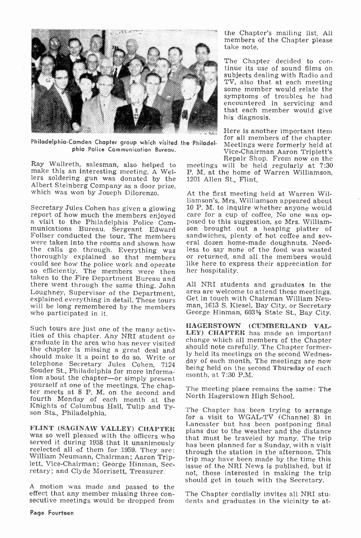

Philadelphia -Camden Chapter group which visited the Philadelphia Police Communication Bureau.

Ray Wallreth, salesman, also helped to make this an interesting meeting. A Wellers soldering gun was donated by the Albert Steinberg Company as a door prize, which was won by Joseph Dilorenzo.

Secretary Jules Cohen has given a glowing  $10 \text{ P}$ . M. to inquire whether anyone would<br>report of how much the members enjoyed care for a cup of coffee. No one was op-<br>a visit to the Philadelphia Police Com-<br>posed to this so efficiently. The members were then her hospitality.<br>taken to the Fire Department Bureau and<br>there went through the same thing. John the same through the same through the same through the same through the same through th Loughney, Supervisor of the Department, area are welcome to attend these meetings, explained everything in detail. These tours Get in touch with Chairman William Neuwill be long remembered by the members man, 1613 S. Kiese will be long remembered by the members who participated in it.

should make it a point to do so. Write or Souder St., Philadelphia for more informa-<br>tion about the chapter—or simply present yourself at one of the meetings. The chapter-meets at 8 P. M. on the second and fourth Monday of each month at the Knights of Columbus Hall, Tulip and Ty- son Sts., Philadelphia.

served it during 1958 that it unanimously reelected all of them for 1959. They are: lett, Vice-Chairman; George Hinman, Sec-

A motion was made and passed to the secutive meetings would be dropped from the Chapter's mailing list, All members of the Chapter please take note.

The Chapter decided to con-<br>tinue its use of sound films on<br>subjects dealing with Radio and TV, also that at each meeting some member would relate the symptoms of troubles he had encountered in servicing and that each member would give his diagnosis.

Here is another important item<br>for all members of the chapter. Meetings were formerly held at<br>Vice-Chairman Aaron Triplett's Repair Shop. From now on the

meetings will be held regularly at 7:30 P. M. at the home of Warren Williamson, 1201 Allen St., Flint.

At the first meeting held at Warren Williamson's, Mrs, Williamson appeared about 10 P. M. to inquire whether anyone would eral dozen home-made doughnuts. Needless to say none of the food was wasted like here to express their appreciation for her hospitality.

All NRI students and graduates in the Get in touch with Chairman William Neu-George Hinman, 6031/<sub>2</sub> State St., Bay City.

Such tours are just one of the many activ-<br>ities of this chapter. Any NRI student or<br>graduate in the area who has never visited<br>the chapter is missing a great deal and<br>should note carefully. The Chapter former-<br>the chapter HAGERSTOWN (CUMBERLAND VAL-LEY) CHAPTER has made an important ly held its meetings on the second Wednesday of each month. The meetings are now being held on the second Thursday of each month, at 7:30 P.M.

> The meeting place remains the same: The North Hagerstown High School.

FLINT (SAGINAW VALLEY) CHAPTER<br>was so well pleased with the officers who<br>hat must be traveled by many. The trip retary; and Clyde Morrisett, Treasurer. The Chapter has been trying to arrange for a visit to WGAL-TV (Channel 8) in Lancaster but has been postponing final plans due to the weather and the distance has been planned for a Sunday, with a visit through the station in the afternoon. This trip may have been made by the time this issue of the NRI News is published, but if should get in touch with the Secretary.

> The Chapter cordially invites all NRI students and graduates in the vicinity to at-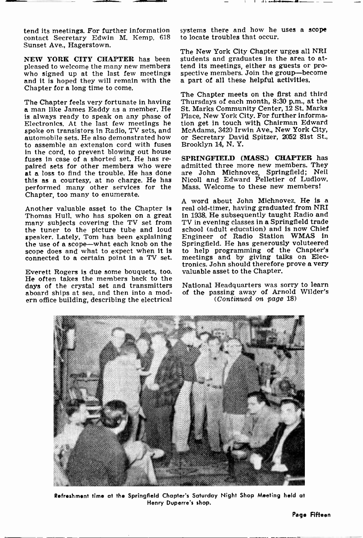tend its meetings. For further information contact Secretary Edwin M. Kemp, 618 Sunset Ave., Hagerstown.

NEW YORK CITY CHAPTER has been pleased to welcome the many new members tend its meetings, either as guests or pro-<br>who signed up at the last few meetings spective members. Join the group—become who signed up at the last few meetings and it is hoped they will remain with the Chapter for a long time to come.

The Chapter feels very fortunate in having<br>a man like James Eaddy as a member. He is always ready to speak on any phase of Electronics. At the last few meetings he tion get in touch with Chairman Edward<br>spoke on transistors in Radio, TV sets, and McAdams, 3420 Irwin Ave., New York City, spoke on transistors in Radio, TV sets, and automobile sets. He also demonstrated how to assemble an extension cord with fuses in the cord, to prevent blowing out house<br>fuses in case of a shorted set. He has repaired sets for other members who were<br>at a loss to find the trouble. He has done this as a courtesy, at no charge. He has performed many other services for the Chapter, too many to enumerate.

Another valuable asset to the Chapter is Thomas Hull, who has spoken on a great many subjects covering the TV set from the tuner to the picture tube and loud speaker. Lately, Tom has been explaining Engineer of Radio Station WMAS in the use of a scope-what each knob on the Springfield. He has generously voluteered scope does and what to expect when it is to help programming of scope does and what to expect when it is connected to a certain point in a TV set.

Everett Rogers is due some bouquets, too. He often takes the members back to the days of the crystal set and transmitters aboard ships at sea, and then into a modern office building, describing the electrical

systems there and how he uses a scope to locate troubles that occur.

The New York City Chapter urges all NRI students and graduates in the area to attend its meetings, either as guests or proa part of all these helpful activities.

The Chapter meets on the first and third Thursdays of each month, 8:30 p.m., at the St. Marks Community Center, 12 St. Marks Place, New York City. For further information get in touch with Chairman Edward or Secretary David Spitzer, 2052 81st St., Brooklyn 14, N. Y.

SPRINGFIELD (MASS:) CHAPTER has admitted three more new members. They are John Michnovez, Springfield; Neil Nicoll and Edward Pelletier of Ludlow, Mass. Welcome to these new members!

<sup>A</sup>word about John Michnovez. He is a real old-timer, having graduated from NRI in 1938. He subsequently taught Radio and TV in evening classes in a Springfield trade school (adult education) and is now Chief Engineer of Radio Station WMAS in Springfield. He has generously voluteered meetings and by giving talks on Electronics. John should therefore prove a very valuable asset to the Chapter.

National Headquarters was sorry to learn of the passing away of Arnold Wilder's (Continued on page 18)



Refreshment time at the Springfield Chapter's Saturday Night Shop Meeting held at Henry Duperre's shop.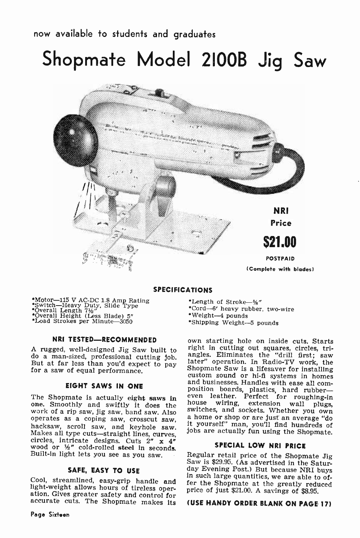## now available to students and graduates

Shopmate Model 2100B Jig Saw



## SPECIFICATIONS

\*Motor—115 V AC-DC 1.8 Amp Rating<br>''Switch—Heavy Duty, Slide Type<br>'' Overall Length 7½"<br>'' Overall Height (Less Blade) 5"<br>''Load Strokes per Minute—3050

#### NRI TESTED-RECOMMENDED

But at far less than you'd expect to pay for a saw of equal performance.

#### EIGHT SAWS IN ONE

operation is a coping saw, crosscut saw, it yourself" man, you'll find hundreds of Makes all type cuts—straight lines, curves, jobs are actually fun using the Shopmate.<br>Circles, intricate designs. Cuts 2" x 4" wood or 12" cold-rolled steel in seconds.<br>Built-in light lets you see as you saw. Begular retail price of the Shopmate Jig Built-in light lets you see as you saw.

## SAFE. EASY TO USE

Cool, streamlined, easy-grip handle and light-weight allows hours of tireless oper-<br>light-weight allows hours of tireless oper-<br>ation. Gives greater safety and control for<br>accurate cuts. The Shopmate makes its (USE HANDY O

- \*Length of Stroke-%"
- \*Cord -6' heavy rubber, two -wire
- \*Weight-4 pounds
- \*Shipping Weight--5 pounds

A rugged, well-designed Jig Saw built to<br>do a man-sized, professional cutting job. angles. Eliminates the "drill first; saw<br>But at far less than you'd expect to pay later" operation. In Radio-TV work, the The Shopmate is actually eight saws in <sup>even</sup> leather. Perfect for roughing-in one. Smoothly and swiftly it does the house wiring, extension wall plugs, work of a rip saw, jig saw, band saw. Also swiftles, and sockets. Whe own starting hole on inside cuts. Starts right in cutting out squares, circles, tri-Shopmate Saw is a lifesaver for installing<br>custom sound or hi-fi systems in homes<br>and businesses. Handles with ease all com-<br>position boards, plastics, hard rubber—<br>even leather. Perfect for rughing-in<br>house wiring, extens

## SPECIAL LOW NRI PRICE

Saw is \$29.95. (As advertised in the Satur-<br>day Evening Post.) But because NRI buys price of just \$21.00. A savings of \$8.95.

## (USE HANDY ORDER BLANK ON PAGE 17)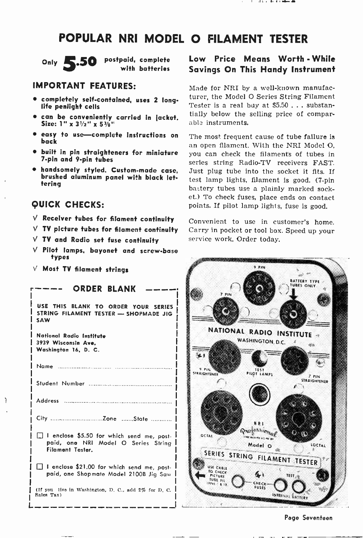## POPULAR NRI MODEL O FILAMENT TESTER



Only 5.50 postpaid, complete with batteries

## IMPORTANT FEATURES:

- completely self-contained, uses 2 long-<br>life penlight cells
- can be conveniently carried in jacket.<br>Size: 1" x 3½" x 5½"
- easy to use-complete instructions on back
- built in pin straighteners for miniature <sup>7</sup>-pin and 9 -pin tubes
- handsomely styled. Custom-made case, brushed aluminum panel with black lettering

## QUICK CHECKS:

- $V$  Receiver tubes for filament continuity
- $V$  TV picture tubes for filament continuity
- $V$  TV and Radio set fuse continuity
- $V$  Pilot lamps, bayonet and screw-base types
- $V$  Most TV filament strings

| <b>ORDER BLANK</b>                                                                                          |                                                     |
|-------------------------------------------------------------------------------------------------------------|-----------------------------------------------------|
| USE THIS BLANK TO ORDER YOUR SERIES<br>STRING FILAMENT TESTER - SHOPMADE JIG<br><b>SAW</b>                  |                                                     |
| National Radio Institute<br>3939 Wisconsin Ave.<br>Washington 16, D. C.                                     | <b>NATIC</b>                                        |
| Name :                                                                                                      | STRAIGHTENER                                        |
|                                                                                                             |                                                     |
|                                                                                                             |                                                     |
|                                                                                                             |                                                     |
| I enclose \$5.50 for which send me, post-<br>paid, one NRI Model O Series String<br><b>Filament Tester.</b> | OCTAL<br><b>SERIES</b>                              |
| I enclose \$21.00 for which send me, post-<br>paid, one Shopmate Model 2100B Jig Saw I                      | USE CABLE<br>TO CHECK<br>PICTURE<br><b>IUBE FIL</b> |
| (If you live in Washington, D. C., add 2% for D. C.<br>Sales Tax)                                           | 表 19                                                |

L \_\_ \_ \_

ì

## Low Price Means Worth - While Savings On This Handy Instrument

Made for NRI by a well-known manufacturer, the Model O Series String Filament Tester is a real buy at \$5.50 ... substantially below the selling price of comparable instruments.

The most frequent cause of tube failure is an open filament. With the NRI Model O, you can check the filaments of tubes in series string Radio-TV receivers FAST. Just plug tube into the socket it fits. If test lamp lights, filament is good. (7-pin battery tubes use a plainly marked socket.) To check fuses, place ends on contact points. If pilot lamp lights, fuse is good.

Convenient to use in customer's home. Carry in pocket or tool box. Speed up your service work. Order today.



Page Seventeen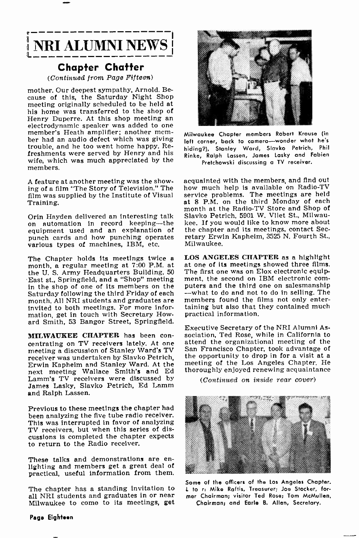

## Chapter Chatter

(Continued from Page Fifteen)

mother. Our deepest sympathy, Arnold. Be- cause of this, the Saturday Night Shop meeting originally scheduled to be held at his home was transferred to the shop of<br>Henry Duperre. At this shop meeting an electrodynamic speaker was added to one member's Heath amplifier; another member had an audio defect which was giving trouble, and he too went home happy. Refreshments were served by Henry and his wife, which was much appreciated by the members.

A feature at another meeting was the showing of a film "The Story of Television." The film was supplied by the Institute of Visual Training.

Orin Hayden delivered an interesting talk on automation in record keeping-the equipment used and an explanation of punch cards and how punching operates various types of machines, IBM, etc.

The Chapter holds its meetings twice a month, a regular meeting at 7:00 P.M. at the U. S. Army Headquarters Building, <sup>50</sup> East st., Springfield, and a "Shop" meeting ment, the second on IBM electronic com-<br>in the shop of one of its members on the puters and the third one on salesmanship in the shop of one of its members on the puters and the third one on salesmanship<br>Saturday following the third Friday of each —what to do and not to do in selling. The Saturday following the third Friday of each month. All NRI students and graduates are invited to both meetings. For more information, get in touch with Secretary Howard Smith, 53 Bangor Street, Springfield.

MILWAUKEE CHAPTER has been con-<br>centrating on TV receivers lately. At one<br>meeting a discussion of Stanley Ward's TV receiver was undertaken by Slavko Petrich, the opportunity to drop in for a visit at a<br>Erwin Kanheim and Stanley Ward, At the the etting of the Los Angeles Chapter. He Erwin Kapheim and Stanley Ward. At the next meeting Wallace Smith's and Ed Lamm's TV receivers were discussed by James Lasky, Slavko Petrich, Ed Lamm and Ralph Lassen.

Previous to these meetings the chapter had been analyzing the five tube radio receiver. This was interrupted In favor of analyzing TV receivers, but when this series of discussions is completed the chapter expects to return to the Radio receiver.

These talks and demonstrations are en-<br>lighting and members get a great deal of practical, useful information from them.

all NRI students and graduates in or near Milwaukee to come to its meetings, get



Milwaukee Chapter members Robert Krause (in left corner, back to camera-wonder what he's hiding?), Stanley Ward, Slavko Petrich, Phil Rinke, Ralph Lassen, James Lasky and Fabien Pretchowski discussing a TV receiver.

acquainted with the members, and find out how much help is available on Radio-TV service problems. The meetings are held at 8 P.M. on the third Monday of each month at the Radio-TV Store and Shop of Slavko Petrich, 5901 W. Vliet St., Milwaukee. If you would like to know more about the chapter and its meetings, contact Secretary Erwin Kaphelm, 3525 N. Fourth St., Milwaukee.

LOS ANGELES CHAPTER as a highlight at one of its meetings showed three films. The first one was on Elox electronic equipment, the second on IBM electronic commembers found the films not only entertaining but also that they contained much practical information.

Executive Secretary of the NRI Alumni Association, Ted Rose, while in California to attend the organizational meeting of the San Francisco Chapter, took advantage of the opportunity to drop in for a visit at a thoroughly enjoyed renewing acquaintance

(Continued on inside rear cover)



The chapter has a standing invitation to  $\quad$  to r: Mike Raftis, Treasurer; Joe Stocker, for-Some of the officers of the Los Angeles Chapter. mer Chairman; visitor Ted Rose; Tom McMullen, Chairman; and Earle B. Allen, Secretary.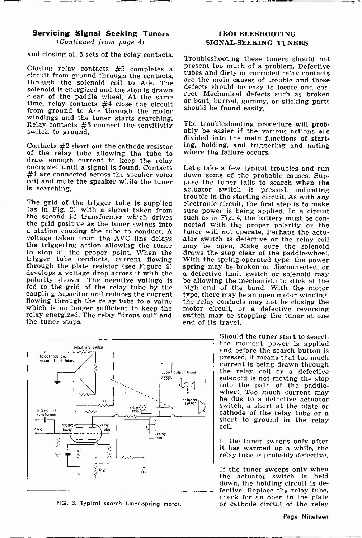## Servicing Signal Seeking Tuners

(Continued from page 4)

and closing all 5 sets of the relay contacts.

solenoid is energized and the stop is drawn<br>clear of the paddle wheel. At the same clear of the paddle wheel. At the same  $\frac{rcc}{r}$  time, relay contacts  $#4$  close the circuit or from ground to  $A+$  through the motor windings and the tuner starts searching. Relay contacts #3 connect the sensitivity switch to ground.

Contacts  $#2$  short out the cathode resistor ing, holding, and trigge<br>of the relay tube allowing the tube to where the failure occurs. of the relay tube allowing the tube to draw enough current to keep the relay energized until a signal is found. Contacts #1 are connected across the speaker voice coil and mute the speaker while the tuner is searching.

the triggering action allowing the tuner<br>to stop at the proper point. When the trigger tube conducts, current flowing With the spring-operated type, the power through the plate resistor (see Figure 4) spring may be broken or disconnected, or develops a voltage drop across it with the  $\alpha$  defective polarity shown. The negative voltage is fed to the grid of the relay tube by the coupling capacitor and reduces the current type, there may be an open motor winding. flowing through the relay tube to a value the relay contacts may not be closing the which is no longer sufficient to keep the motor circuit, or a defective reversing which is no longer sufficient to keep the relay energized. The relay "drops out" and switch may be st<br>the tuner stops.  $\qquad \qquad$  end of its travel. the tuner stops.



FIG. 3. Typical search tuner-spring motor.

## TROUBLESHOOTING SIGNAL -SEEKING TUNERS

Closing relay contacts #5 completes a circuit from ground through the contacts, the solenoid coil to  $A_+, A_+$  are the main causes of trouble and through the solenoid coil to  $A_+, A_-$  are the main causes of touble and corre Troubleshooting these tuners should not present too much of a problem. Defective tubes and dirty or corroded relay contacts are the main causes of trouble and these rect. Mechanical defects such as broken<br>or bent, burred, gummy, or sticking parts<br>should be found easily.

> The troubleshooting procedure will prob- ably be easier if the various actions are divided into the main functions of starting, holding, and triggering and noting

The grid of the trigger tube is supplied electronic circuit, the first step is to make<br>
(as in Fig. 2) with a signal taken from sure power is being applied. In a circuit<br>
the second i-f transformer which drives such as in Let's take a few typical troubles and run down some of the probable causes. Suppose the tuner fails to search when the actuator switch is pressed, indicating sure power is being applied. In a circuit nected with the proper polarity or the tuner will not operate. Perhaps the actuator switch is defective or the relay coil may be open. Make sure the solenoid draws the stop clear of the paddle-wheel. be allowing the mechanism to stick at the high end of the band. With the motor the relay contacts may not be closing the switch may be stopping the tuner at one

> Should the tuner start to search the moment power is applied and before the search button is pressed, it means that too much current is being drawn through the relay coil or a defective solenoid is not moving the stop<br>into the path of the paddle-<br>wheel. Too much current may<br>be due to a defective actuator<br>switch, a short at the plate or cathode of the relay tube or a short to ground in the relay coil.

If the tuner sweeps only after it has warmed up a while, the relay tube is probably defective.

If the tuner sweeps only when the actuator switch is held down, the holding circuit is defective. Replace the relay tube, check for an open in the plate or cathode circuit of the relay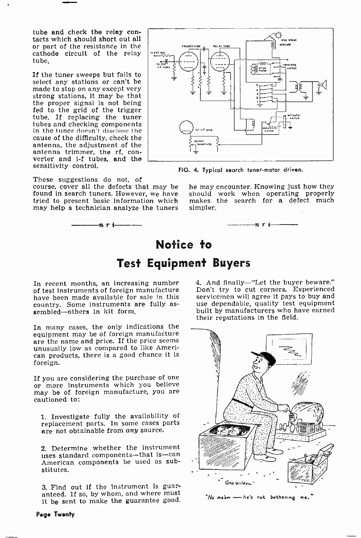tube and check the relay con-<br>tacts which should short out all<br>or part of the resistance in the cathode circuit of the relay tube.

If the tuner sweeps but fails to select any stations or can't be made to stop on any except very strong stations, it may be that<br>the proper signal is not being fed to the grid of the trigger<br>tube. If replacing the tuner tubes and checking components in the tuner doesn't disclose the cause of the difficulty, check the antenna, the adjustment of the antenna trimmer, the rf, con-<br>verter and i-f tubes, and the sensitivity control.

These suggestions do not, of course, cover all the defects that may be he may encounter. Knowing just how they found in search tuners. However, we have tried to present basic information which may help a technician analyze the tuners

nr:



FIG. 4. Typical search tuner-motor driven.

should work when operating properly makes the search for a defect much simpler.



# Notice to Test Equipment Buyers

In recent months, an increasing number of test instruments of foreign manufacture have been made available for sale in this servicemen will agree it pays to buy and<br>country. Some instruments are fully as- use dependable, quality test equipment country. Some instruments are fully as-<br>sembled-others in kit form.

In many cases, the only indications the equipment may be of foreign manufacture<br>are the name and price. If the price seems unusually low as compared to like Ameri-<br>can products, there is a good chance it is foreign.

If you are considering the purchase of one or more instruments which you believe may be of foreign manufacture, you are cautioned to:

1. Investigate fully the availability of replacement parts. In some cases parts are not obtainable from any source.

2. Determine whether the instrument uses standard components-that is-can American components be used as substitutes.

3. Find out if the instrument is guaranteed. If so, by whom, and where must it be sent to make the guarantee good. 4. And finally-"Let the buyer beware." Don't try to cut corners. Experienced servicemen will agree it pays to buy and built by manufacturers who have earned their reputations in the field.



'No ma'am -he's not bothering me.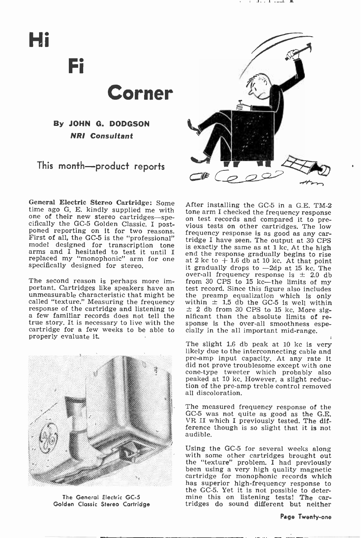# Hi

Fi

Corner

By JOHN G. DODGSON NRI Consultant

This month-product reports



General Electric Stereo Cartridge: Some<br>time ago G. E. kindly supplied me with time ago G. E. kindly supplied me with<br>tone arm I checked the frequency response<br>one of their new stereo cartridges—spe-<br>cifically the GC-5 Golden Classic. I post-<br>poned reporting on it for two reasons.<br>First of all, the arms and I hesitated to test it until I am<br>replaced my "monophonic" arm for one at<br>specifically designed for stereo. it

The second reason is perhaps more important. Cartridges like speakers have an test record. Since this figure also includes unmeasurable characteristic that might be the preamp equalization which is only called "texture." Measuring the frequency within  $\pm$  1.5 db the GC-5 is well within called "texture." Measuring the frequency within  $\pm$  1.5 db the GC-5 is well within<br>response of the cartridge and listening to  $\pm$  2 db from 30 CPS to 15 kc. More siga few familiar records does not tell the nificant than the absolute limits of retrue story. It is necessary to live with the sponse is the over-all smoothness exertridge for a few weeks to be able to cially in the all important mid-range. cartridge for a few weeks to be able to properly evaluate it.



The General Electric GC-5 Golden Classic Stereo Cartridge

After installing the GC-5 in a G.E. TM-2 on test records and compared it to prefrequency response is as good as any car- tridge I have seen. The output at 30 CPS is exactly the same as at 1 kc. At the high end the response gradually begins to rise at 2 kc to  $+$  1.6 db at 10 kc. At that point it gradually drops to  $-2dp$  at 15 kc. The over-all frequency response is  $\pm$  2.0 db from 30 CPS to 15 kc-the limits of my the preamp equalization which is only sponse is the over-all smoothness espe-

The slight 1.6 db peak at 10 kc is very likely due to the interconnecting cable and pre-amp input capacity. At any rate it<br>did not prove troublesome except with one cone-type tweeter which probably also peaked at 10 kc. However, a slight reduction of the pre -amp treble control removed all discoloration.

The measured frequency response of the GC-5 was not quite as good as the G.E. VR II which I previously tested. The difference though is so slight that it is not audible.

Using the GC -5 for several weeks along with some other cartridges brought out the "texture" problem. I had previously been using a very high quality magnetic cartridge for monophonic records which has superior high-frequency response to the GC -5. Yet it is not possible to determine this on listening tests! The cartridges do sound different but neither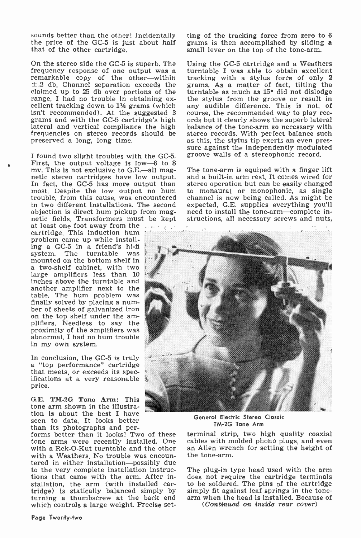sounds better than the other! Incidentally ting of the tracking force from zero to<br>the price of the GC-5 is just about half grams is then accomplished by sliding<br>that of the other cartridge. small lever on the top of the t that of the other cartridge.

On the stereo side the GC-5 is superb. The frequency response of one output was a remarkable copy of the other-within  $\pm$ .2 db. Channel separation exceeds the grams. As a matter of fact, tilting the claimed up to 25 db over portions of the turntable as much as 15° did not dislodge claimed up to 25 db over portions of the cellent tracking down to  $1\frac{1}{2}$  grams (which any audible difference. This is not, of isn't recommended). At the suggested 3 course, the recommended way to play recgrams and with the GC-5 cartridge's high ords but it c Interal and vertical compliance the high balance of the tone-arm so necessary with frequencies on stereo records should be stereo records. With perfect balance such preserved a long, long time. as this, the stylus tip exer preserved a long, long time.

I found two slight troubles with the GC-5.<br>First, the output voltage is low--6 to 8 mv. This is not exclusive to G.E.--all mag-<br>netic stereo cartridges have low output.<br>In fact, the GC-5 has more output than most. Despite the low output no hum to monaural or monophonic, as single trouble, from this cause, was encountered channel is now being called. As might be trouble, from this cause, was encountered in two different installations. The second expected, G.E. supplies everything you'll<br>objection is direct hum pickup from mag- need to install the tone-arm—complete inobjection is direct hum pickup from mag-<br>netic fields. Transformers must be kept<br>at least one foot away from the

cartridge. This induction hum problem came up while installing a GC -5 in a friend's hi-fi mounted on the bottom shelf in<br>a two-shelf cabinet, with two large amplifiers less than 10 inches above the turntable and another amplifier next to the table. The hum problem was finally solved by placing a num-<br>ber of sheets of galvanized iron<br>on the top shelf under the am-<br>plifiers. Needless to say the<br>proximity of the amplifiers was abnormal. I had no hum trouble in my own system.

In conclusion, the GC-5 is truly a "top performance" cartridge that meets, or exceeds its spec-<br>ifications at a very reasonable price.

G.E. TM -2G Tone Arm: This tone arm shown in the illustration is about the best I have<br>seen to date. It looks better<br>than its photographs and per-

forms better than it looks! Two of these tone arms were recently installed. One cables with molded phono plugs, and even<br>with a Rek-O-Kut turntable and the other – an Allen wrench for setting the height of with a Rek-O-Kut turntable and the other an Allen wren with a Weathers No trouble was encoun- the tone-arm. with a Weathers. No trouble was encoun-<br>tered in either installation—possibly due to the very complete installation instructions that came with the arm. After installation, the arm (with installed car- to be soldered. The pins of the cartridge tridge) is statically balanced simply by simply fit against leaf springs in the tone-<br>turning a thumbscrew at the back end arm when the hea which controls a large weight. Precise set-

ting of the tracking force from zero to 8 grams is then accomplished by sliding a

Using the GC -5 cartridge and a Weathers turntable I was able to obtain excellent tracking with a stylus force of only <sup>2</sup> grams. As a matter of fact, tilting the the stylus from the groove or result in any audible difference. This is not, of ords but it clearly shows the superb lateral balance of the tone -arm so necessary with stereo records. With perfect balance such sure against the independently modulated groove walls of a stereophonic record.

The tone-arm is equiped with a finger lift and a built-in arm rest. It comes wired for stereo operation but can be easily changed to monaural or monophonic, as single expected, G.E. supplies everything you'll structions, all necessary screws and nuts,



General Electric Stereo Classic TM -2G Tone Arm

terminal strip, two high quality coaxial cables with molded phono plugs, and even

The plug-in type head used with the arm does not require the cartridge terminals to be soldered. The pins of the cartridge

(Continued on inside rear cover)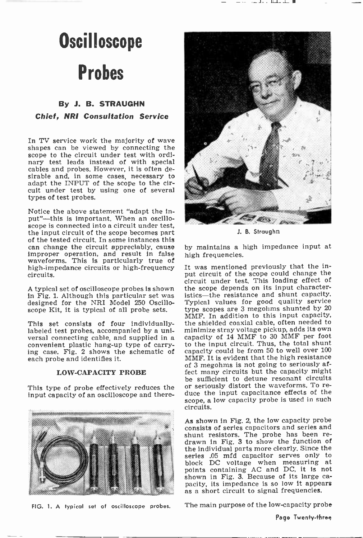# **Oscilloscope**

# Probes

## By J. B. STRAUGHN

Chief, NRI Consultation Service

In TV service work the majority of wave shapes can be viewed by connecting the scope to the circuit under test with ordinary test leads instead of with special cables and probes. However, it is often desirable and, in some cases, necessary to adapt the INPUT of the scope to the circuit under test by using one of several types of test probes.

Notice the above statement "adapt the input"-this is important. When an oscilloscope is connected into a circuit under test, the input circuit of the scope becomes part<br>of the tested circuit. In some instances this can change the circuit appreciably, cause improper operation, and result in false waveforms. This is particularly true of high-impedance circuits or high-frequency<br>circuits.

A typical set of oscilloscope probes is shown<br>in Fig. 1. Although this particular set was designed for the NRI Model 250 Oscilloscope Kit, it is typical of all probe sets.

This set consists of four individually-<br>labeled test probes, accompanied by a universal connecting cable, and supplied in a convenient plastic hang-up type of carrying case. Fig. 2 shows the schematic of each probe and identifies it.

#### LOW -CAPACITY PROBE

input capacity of an oscilloscope and there-





J. B. Straughn

by maintains a high impedance input at high frequencies.

This type of probe effectively reduces the or seriously distort the waveforms. To re-<br>input capacity of an oscillascene and there. duce the input capacitance effects of the It was mentioned previously that the input circuit of the scope could change the circuit under test. This loading effect of the scope depends on its input characteristics-the resistance and shunt capacity. Typical values for good quality service type scopes are 3 megohms shunted by 20 MMF. In addition to this input capacity, the shielded coaxial cable, often needed to minimize stray voltage pickup, adds its own capacity of 14 MMF to 30 MMF per foot to the input circuit. Thus, the total shunt capacity could be from 50 to well over 100 MMF. It is evident that the high resistance of 3 megohms is not going to seriously affect many circuits but the capacity might be sufficient to detune resonant circuits scope, a low capacity probe is used in such circuits.

> As shown in Fig. 2, the low capacity probe consists of series capacitors and series and<br>shunt resistors. The probe has been redrawn in Fig. 3 to show the function of the individual parts more clearly. Since the series .05 mfd capacitor serves only to block DC voltage when measuring at points containing AC and DC, it is not shown in Fig. 3. Because of its large ca-<br>pacity, its impedance is so low it appears<br>as a short circuit to signal frequencies.

FIG. 1. A typical set of oscilloscope probes. The main purpose of the low -capacity probe

Page Twenty-three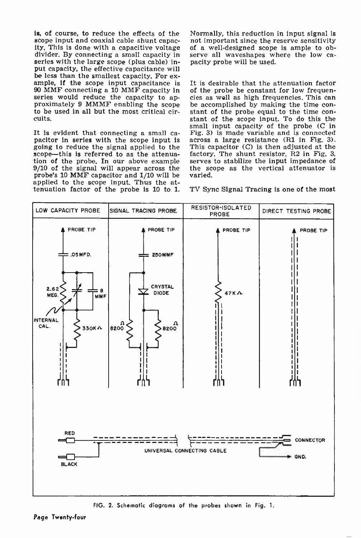is, of course, to reduce the effects of the scope input and coaxial cable shunt capacity. This is done with a capacitive voltage of a well-designed scope is ample to ob-<br>divider. By connecting a small capacity in serve all waveshapes where the low ca-<br>series with the large scope (plus cable) in-<br>pacity pro series with the large scope (plus cable) input capacity, the effective capacitance will<br>be less than the smallest capacity. For example, if the scope input capacitance is 90 MMF connecting a 10 MMF capacity in of the probe be constant for low frequenseries would reduce the capacity to ap-<br>series would reduce the capacity to ap-<br>cies as well as high frequencies. This can series would reduce the capacity to ap-<br>proximately 9 MMMF enabling the scope be accomplished by making the time con-<br>to be used in all but the most critical cir-<br>stant of the probe equal to the time conto be used in all but the most critical circuits.

It is evident that connecting a small ca- $\overline{F}$  Fig. 3) is made variable and is connected pacitor in series with the scope input is across a large resistance (R1 in Fig. 3). going to reduce the signal applied to the This capacitor  $(C)$  is then adjusted at the scope—this is referred to as the attenua- factory. The shunt resistor, R2 in Fig. 3. scope—this is referred to as the attenua-<br>tion of the probe. In our above example 9/10 of the signal will appear across the probe's 10 MMF capacitor and 1/10 will be applied to the scope input. Thus the attenuation factor of the probe is 10 to 1.

Normally, this reduction in input signal is not important since the reserve sensitivity serve all waveshapes where the low ca-

It is desirable that the attenuation factor of the probe be constant for low frequenstant of the scope input. To do this the small input capacity of the probe (C in Fig. 3) is made variable and is connected This capacitor (C) is then adjusted at the serves to stabilize the input impedance of the scope as the vertical attenuator is varied.

TV Sync Signal Tracing is one of the most



FIG. 2. Schematic diagrams of the probes shown in Fig. 1.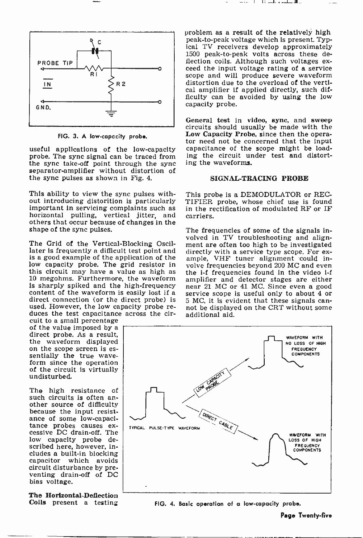

FIG. 3. A low -capacity probe.

the sync take-off point through the sync separator -amplifier without distortion of the sync pulses as shown in Fig. 4.

This ability to view the sync pulses with-<br>out introducing distorition is particularly important in servicing complaints such as horizontal pulling, vertical jitter, and others that occur because of changes in the shape of the sync pulses.

The Grid of the Vertical-Blocking Oscil-The Grid of the Vertical-Blocking Oscil-<br>later is frequently a difficult test point and directly with a service type scope. For ex-<br>is a good example of the application of the ample, VHF tuner alignment could inis a good example of the application of the low capacity probe. The grid resistor in volve frequencies beyond 200 MC and even this circuit may have a value as high as the  $i$ -f frequencies found in the video  $i$ -f 10 megohms. Furthermore, the waveform is sharply spiked and the high-frequency near 21 MC or 41 MC. Since even a good content of the waveform is easily lost if a service scope is useful only to about 4 or direct connection (or the direct probe) is  $\frac{1}{5}$  MC, it is evident that these signals canused. However, the low capacity probe re-<br>duces the test capacitance across the cir-<br>cuit to a small percentage

of the value imposed by a<br>direct probe. As a result,<br>the waveform displayed<br>on the scope screen is es-<br>sentially the true wave-<br>form since the operation of the circuit Is virtually undisturbed.

The high resistance of such circuits is often an-<br>other source of difficulty because the input resistance of some low -capacitance probes causes ex- cessive DC drain -off. The low capacity probe described here, however, includes a built-in blocking capacitor which avoids circuit disturbance by pre- venting drain -off of DC bias voltage.

The Horizontal-Deflection Coils present a testing problem as a result of the relatively high peak -to -peak voltage which is present. Typical TV receivers develop approximately 1500 peak-to-peak volts across these de-<br>flection coils. Although such voltages exceed the input voltage rating of a service scope and will produce severe waveform distortion due to the overload of the vertical amplifier if applied directly, such difficulty can be avoided by using the low capacity probe.

useful applications of the low-capacity capacitance of the scope might be load-<br>probe. The sync signal can be traced from ing the circuit under test and distort-General test in video, sync, and sweep circuits should usually be made with the Low Capacity Probe, since then the operator need not be concerned that the input ing the circuit under test and distorting the waveforms.

#### SIGNAL-TRACING PROBE

This probe is a DEMODULATOR or REC-TIFIER probe, whose chief use is found in the rectification of modulated RF or IF carriers.

The frequencies of some of the signals involved in TV troubleshooting and aligndirectly with a service type scope. For exvolve frequencies beyond 200 MC and even amplifier and detector stages are either near 21 MC or 41 MC. Since even a good service scope is useful only to about 4 or not be displayed on the CRT without some additional aid.



FIG. 4. Basic operation of a low -capacity probe.

Page Twenty-five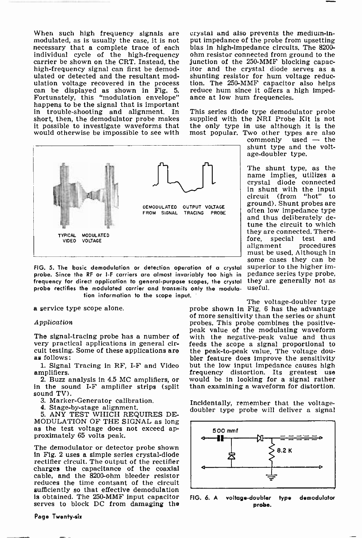necessary that a complete trace of each bias in high-impedance circuits. The 8200-<br>individual cycle of the high-frequency ohm resistor connected from ground to the carrier be shown on the CRT. Instead, the junction of the  $250\text{-}\text{MMF}$  blocking capachigh -frequency signal can first be demodulated or detected and the resultant modulation voltage recovered in the process ulation voltage recovered in the process ti<br>can be displayed as shown in Fig. 5. re Fortunately, this "modulation envelope" happens to be the signal that is important in trouble -shooting and alignment. In short, then, the demodulator probe makes it possible to investigate waveforms that would otherwise be impossible to see with



FIG. 5. The basic demodulation or detection operation of a crystal superior to the higher im-<br>probe. Since the RF or I-F carriers are almost invariably too high in pedance series type probe, probe. Since the RF or I -F carriers are almost invariably too high in frequency for direct application to general-purpose scopes, the crystal they at<br>probe rectifies the modulated carrier and transmits only the modula. USeful. probe rectifies the modulated carrier and transmits only the modula tion information to the scope input.

a service type scope alone.

#### Application

The signal-tracing probe has a number of very practical applications in general ciras follows:

amplifiers.<br>2. Buzz analysis in 4.5 MC amplifiers, or

in the sound I-F amplifier strips (split sound TV).

- 3. Marker -Generator calibration.
- 4. Stage-by-stage alignment.

5. ANY TEST WHICH REQUIRES DE-MODULATION OF THE SIGNAL as long as the test voltage does not exceed ap- proximately 65 volts peak.

The demodulator or detector probe shown in Fig. 2 uses a simple series crystal -diode rectifier circuit. The output of the rectifier charges the capacitance of the coaxial cable, and the 8200-ohm bleeder resistor reduces the time contsant of the circuit sufficiently so that effective demodulation<br>is obtained. The  $250\text{-}MMF$  input capacitor  $F(G, G, A)$ is obtained. The 250-MMF input capacitor serves to block DC from damaging the

Page Twenty-six

When such high frequency signals are crystal and also prevents the medium-in-<br>modulated, as is usually the case, it is not put impedance of the probe from upsetting<br>necessary that a complete trace of each bias in high-impe crystal and also prevents the medium-input impedance of the probe from upsetting itor and the crystal diode serves as a shunting resistor for hum voltage reduc-<br>tion. The 250-MMF capacitor also helps reduce hum since it offers a high imped-<br>ance at low hum frequencies.

> This series diode type demodulator probe supplied with the NRI Probe Kit is not the only type in use although it is the most popular. Two other types are also commonly used - the commonly used - the characteristic state  $\frac{1}{2}$  commonly used - the characteristic state  $\frac{1}{2}$  characteristic state

shunt type and the voltage -doubler type.

The shunt type, as the name implies, utilizes a crystal diode connected in shunt with the input circuit (from "hot" to ground). Shunt probes are often low impedance type and thus deliberately de-<br>tune the circuit to which they are connected. There-<br>fore special test and fore, special test<br>alignment procee procedures must be used. Although in some cases they can be superior to the higher imthey are generally not as

cuit testing. Some of these applications are the peak-to-peak value. The voltage dou-<br>as follows:<br>bler feature does improve the sensitivity 1. Signal Tracing in RF, I-F and Video but the low input impedance causes high frequency distortion. Its greatest use The voltage-doubler type<br>probe shown in Fig. 6 has the advantage<br>of more sensitivity than the series or shunt<br>probes. This probe combines the positivepeak value of the modulating waveform with the negative -peak value and thus feeds the scope a signal proportional to the peak -to -peak value. The voltage douwould be in looking for a signal rather than examining a waveform for distortion.

Incidentally, remember that the voltage-<br>doubler type probe will deliver a signal



voltage-doubler type demodulator probe.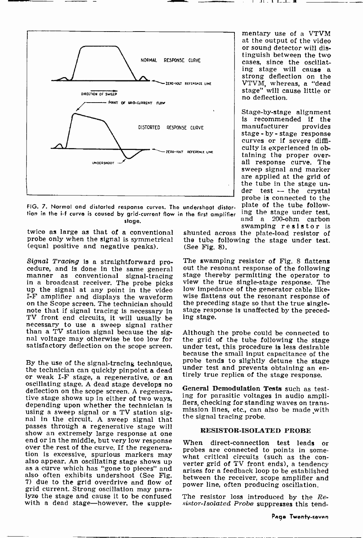$\blacksquare$ I. l. ..  $\blacksquare$ 

mentary use of a VTVM<br>at the output of the video or sound detector will distinguish between the two cases, since the oscillating stage will cause a<br>strong deflection on the VTVM, whereas, a "dead stage" will cause little or no deflection.

Stage -by -stage alignment is recommended if the<br>manufacturer provides

stage - by - stage response curves or if severe difficulty is experienced in ob-<br>taining the proper overall response curve. The sweep signal and marker are applied at the grid of the tube in the stage under test  $-$  the crystal probe is connected to the

plate of the tube follow-<br>ing the stage under test. and a 200-ohm carbon

manufacturer



FIG. 7. Normal and distorted response curves. The undershoot distortion in the i-f curve is coused by grid-current flow in the first amplifier  $\frac{Ing}{m\sigma^2}$ stage.

twice as large as that of a conventional probe only when the signal is symmetrical (equal positive and negative peaks).

Signal Tracing is a straightforward pro- The swamping resistor of Fig. 8 flattens cedure, and is done in the same general out the resonant response of the following manner as conventional signal-tracing stage thereby perm manner as conventional signal-tracing in a broadcast receiver. The probe picks up the signal at any point in the video I-F amplifier and displays the waveform wise flattens out the resonant response of on the Scope screen. The technician should the preceding stage so that the true single-<br>note that if signal tracing is necessary in stage note that if signal tracing is necessary in stage resp TV front end circuits it will usually be ing stage. TV front end circuits, it will usually be necessary to use a sweep signal rather than a TV station signal because the sig-<br>nal voltage may otherwise be too low for<br>the grid of the tube following the stage<br>satisfactory deflection on the scope screen. under test, this procedure is less desirable satisfactory deflection on the scope screen.

By the use of the signal-tracing technique,  $\frac{1}{2}$  and  $\frac{1}{2}$  under test and prevents obtaining an enor weak I-F stage, a regenerative, or an  $\frac{1}{2}$  true replica of the stage response. oscillating stage. A dead stage develops no<br>deflection on the scope screen. A regenera-<br>tive stage shows up in either of two ways, ing for parasitic voltages in audio ampli-<br>depending upon whether the technician is<br>flers, nal in the circuit. A sweep signal that passes through a regenerative stage will<br>show an extremely large response at one end or in the middle, but very low response When direct-connection test leads or over the rest of the curve. If the regenera-<br>tion is excessive, spurious markers may also appear. An oscillating stage shows up<br>also appear. An oscillating stage shows up<br>as a curve which has "gone to pieces" and<br>arises fo also often exhibits undershoot (See Fig. 7) due to the grid overdrive and flow of grid current. Strong oscillation may para- lyze the stage and cause it to be confused with a dead stage-however, the supple-

shunted across the plate-load resistor of<br>the tube following the stage under test. (See Fig. 8). swamping resistor is shunted across the plate-load resistor of

The swamping resistor of Fig. 8 flattens out the resonant response of the following view the true single-stage response. The low impedance of the generator cable likewise flattens out the resonant response of the preceding stage so that the true single-

Although the probe could be connected to the grid of the tube following the stage because the small input capacitance of the probe tends to slightly detune the stage

General Demodulation Tests such as testing for parasitic voltages in audio amplimission lines, etc., can also be made with the signal tracing probe.

#### RESISTOR -ISOLATED PROBE

verter grid of TV front ends), a tendency between the receiver, scope amplifier and power line, often producing oscillation.

The resistor loss introduced by the Resistor-Isolated Probe suppresses this tend-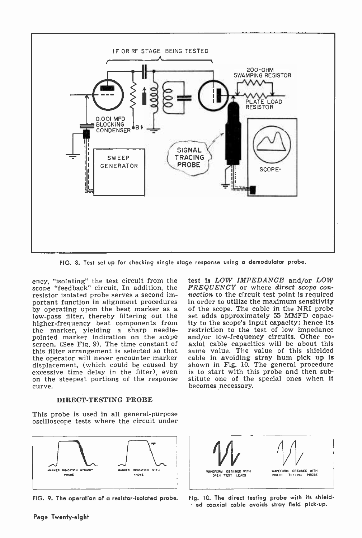

FIG. 8. Test set-up for checking single stage response using a demodulator probe.

ency, "isolating" the test circuit from the scope "feedback" circuit. In addition, the  $FREQUENCY$  or where direct scope con-<br>resistor isolated probe serves a second im-<br>nection to the circuit test point is required resistor isolated probe serves a second important function in alignment procedures by operating upon the beat marker as a low-pass filter, thereby filtering out the higher-frequency beat components from ity to the scope's input capacity; hence its<br>the marker, yielding a sharp needle- restriction to the test of low impedance the marker, yielding a sharp needle- restriction to the test of low impedance<br>pointed marker indication on the scope and/or low-frequency circuits. Other co-<br>screen. (See Fig. 9). The time constant of axial cable capacitie this filter arrangement is selected so that the operator will never encounter marker displacement, (which could be caused by excessive time delay in the filter), even<br>on the steepest portions of the response<br>curve.<br>DIRECT-TESTING PROBE

This probe is used In all general-purpose oscilloscope tests where the circuit under



test Is LOW IMPEDANCE and/or LOW FREQUENCY or where direct scope conin order to utilize the maximum sensitivity of the scope. The cable In the NRI probe set adds approximately 55 MMFD capacity to the scope's input capacity: hence its and/or low-frequency circuits. Other cosame value. The value of this shielded cable in avoiding stray hum pick up is shown in Fig. 10. The general procedure is to start with this probe and then substitute one of the special ones when it becomes necessary.



FIG. 9. The operation of a resistor-isolated probe. Fig. 10. The direct testing probe with its shielded coaxial cable avoids stray field pick-up.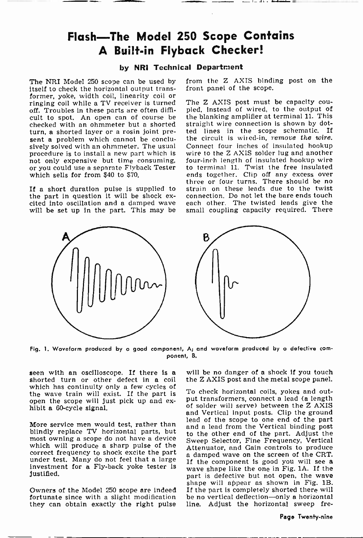## Flash-The Model 250 Scope Contains A Built-in Flyback Checker!

## by NRI Technical Department

The NRI Model 250 scope can be used by itself to check the horizontal output transformer, yoke, width coil, linearity coil or<br>ringing coil while a TV receiver is turned The Z AXIS post must be capacity cou-<br>off Troubles in these parts are often diffi- pled, instead of wired, to the output of off. Troubles in these parts are often difficult to spot. An open can of course be checked with an ohmmeter but a shorted turn, a shorted layer or a rosin joint present a problem which cannot be conclusively solved with an ohmmeter. The usual procedure is to install a new part which is<br>not only expensive but time consuming, or you could use a separate Flyback Tester which sells for from \$40 to \$70.

cited into oscillation and a damped wave will be set up in the part. This may be

from the Z AXIS binding post on the front panel of the scope.

If a short duration pulse is supplied to strain on these leads due to the twist<br>the part in question it will be shock ex- connection. Do not let the bare ends touch The Z AXIS post must be capacity couthe blanking amplifier at terminal 11. This straight wire connection is shown by dotted lines in the scope schematic. If the circuit is wired-in, remove the wire. Connect four inches of insulated hookup wire to the Z AXIS solder lug and another four -inch length of insulated hookup wire to terminal 11. Twist the free insulated ends together. Clip off any excess over three or four turns. There should be no connection. Do not let the bare ends touch each other. The twisted leads give the small coupling capacity required. There



Fig. 1. Woveform produced by a good component, A; and woveform produced by a defective component, B.

seen with an oscilloscope. If there is a shorted turn or other defect in a coil which has continuity only a few cycles of the wave train will exist. If the part is open the scope will just pick up and ex- hibit a 60 -cycle signal.

More service men would test, rather than blindly replace TV horizontal parts, but most owning a scope do not have a device which will produce a sharp pulse of the correct frequency to shock excite the part correct frequency to shock excite the part a damped wave on the screen of the CRT.<br>under test. Many do not feel that a large investment is good you will see a<br>investment for a Fly-back yoke tester is wave shape like the o justified.

fortunate since with a slight modification they can obtain exactly the right pulse will be no danger of a shock if you touch the Z AXIS post and the metal scope panel.

shape will appear as shown in Fig. 1B.<br>Owners of the Model 250 scope are indeed If the part is completely shorted there will To check horizontal coils, yokes and output transformers, connect a lead (a length of solder will serve) between the Z AXIS<br>and Vertical input posts. Clip the ground lead of the scope to one end of the part<br>and a lead from the Vertical binding post to the other end of the part. Adjust the Sweep Selector, Fine Frequency, Vertical Attenuator, and Gain controls to produce wave shape like the one in Fig. 1A. If the part is defective but not open, the wave If the part is completely shorted there will be no vertical deflection-only a horizontal line. Adjust the horizontal sweep fre-

Page Twenty-nine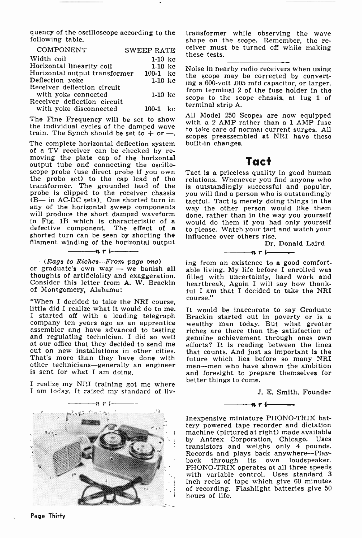quency of the oscilloscope according to the transformer while observing the wave following table. following table.

| COMPONENT                     | <b>SWEEP RATE</b> | cei<br>the |
|-------------------------------|-------------------|------------|
| Width coil                    | $1-10$ kc         |            |
| Horizontal linearity coil     | $1-10$ kc         | No         |
| Horizontal output transformer | $100-1$ kc        | the        |
| Deflection yoke               | $1-10$ kc         | ing        |
| Receiver deflection circuit   |                   | fro        |
| with yoke connected           | $1-10$ kc         | sco        |
| Receiver deflection circuit   |                   | ter        |
| with yoke disconnected        | $100-1$ kc        |            |
|                               |                   |            |

the individual cycles of the damped wave train. The Synch should be set to  $+$  or  $-$ .

The complete horizontal deflection system buil<br>of a TV receiver can be checked by re-<br>moving the plate cap of the horizontal<br>output tube and connecting the oscilloscope probe (use direct probe if you own the probe set) to the cap lead of the transformer. The grounded lead of the is outstandingly successful and popular, probe is clipped to the receiver chassis you will find a person who is outstandingly probe is clipped to the receiver chassis (B- in AC-DC sets). One shorted turn in any of the horizontal sweep components will produce the short damped waveform in Fig. 1B which is characteristic of a would do them if you has defective component. The effect of a to please. Watch your tact shorted turn can be seen by shortling the influence over others rise. filament winding of th filament winding nrl of the horizontal output

or graduate's own way - we banish all able living. My life before  $\tilde{I}$  enrolled was thoughts of artificiality and exaggeration. Consider this letter from A. W. Brackin of Montgomery, Alabama:

"When I decided to take the NRI course,<br>little did I realize what it would do to me. It would be inaccurate to say Graduate<br>I started off with a leading telegraph Brackin started out in poverty or is a<br>company ten years ag assembler and have advanced to testing riches are there than the satisfaction of and regulating technician. I did so well genuine achievement through ones own at our office that they decided to send me efforts? It is readi out on new installations in other cities. That's more than they have done with other technicians-generally an engineer is sent for what I am doing.

I realize my NRI training got me where better things to come. I am today. It raised my standard of liv-



ceiver must be turned off while making these tests.

Noise in nearby radio receivers when using<br>the scope may be corrected by convert-<br>ing a 600-volt .005 mfd capacitor, or larger. from terminal 2 of the fuse holder in the scope to the scope chassis, at lug 1 of terminal strip A.

The Fine Frequency will be set to show The Hill Model 250 Scopes are now equipped All Model 250 Scopes are now equipped to take care of normal current surges. All scopes preassembled at NRI have these built-in changes.

## Tact

Tact Is a priceless quality in good human relations. Whenever you find anyone who is outstandingly successful and popular, tactful. Tact is merely doing things in the way the other person would like them done, rather than in the way you yourself would do them if you had only yourself to please. Watch your tact and watch your

> Dr. Donald Laird r.ri

ing from an existence to a good comfortfilled with uncertainty, hard work and heartbreak. Again I will say how thankful I am that I decided to take the NRI course."

It would be inaccurate to say Graduate Brackin started out in poverty or is a efforts? It is reading between the lines that counts. And just as important is the future which lies before so many NRI men-men who have shown the ambition and foresight to prepare themselves for

J. E. Smith, Founder



Inexpensive miniature PHONO-TRIX battery powered tape recorder and dictation machine (pictured at right) made available by Antrex Corporation, Chicago. Uses transistors and weighs only 4 pounds. Records and plays back anywhere-Play- back through its own loudspeaker. PHONO-TRIX operates at all three speeds with variable control. Uses standard <sup>3</sup> inch reels of tape which give 60 minutes of recording. Flashlight batteries give 50 hours of life.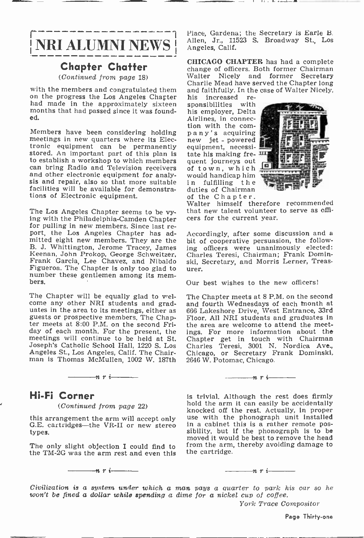NRI ALUMNI NEWS

## Chapter Chatter

(Continued from page 18)

with the members and congratulated them and faithfully. In the case of Walter Nicely, on the progress the Los Angeles Chapter his increased re-<br>had made in the approximately sixteen sponsibilities with months that had passed since it was founded.

Members have been considering holding meetings in new quarters where its Electronic equipment can be permanently equipment, necessi-<br>stored. An important part of this plan is tate his making fre-<br>to establish a workshop to which members quent journeys out can bring Radio and Television receivers and other electronic equipment for analy- would handicap him sis and repair, also so that more suitable in fulfilling the facilities will be available for demonstrations of Electronic equipment.

The Los Angeles Chapter seems to be vy-<br>ing with the Philadelphia-Camden Chapter<br>for pulling in new members. Since last re-<br>port, the Los Angeles Chapter has admitted eight new members. They are the B. J. Whittington, Jerome Tracey, James ing Keenan, John Prokop, George Schweitzer, Frank Garcia, Lee Chavez, and Nibaldo Figueroa. The Chapter is only too glad to number these gentlemen among its mem- bers.

The Chapter will be equally glad to welcome any other NRI students and grad-<br>uates in the area to its meetings, either as<br>guests or prospective members. The Chap-<br>ter meets at 8:00 P.M. on the second Friday of each month. For the present, the meetings will continue to be held at St. Joseph's Catholic School Hall, 1220 S. Los man is Thomas McMullen, 1002 W. 187th

## Hi-Fi Corner

#### (Continued from page 22)

 $\frac{1}{\sqrt{n}}$  r i  $\frac{1}{\sqrt{n}}$ 

this arrangement the arm will accept only G.E. cartridges---the VR-II or new stereo types.

The only slight objection I could find to the TM -2G was the arm rest and even this

 $-n$   $r$   $i-$ 

Allen, Jr., 11523 S. Broadway St., Los Place, Gardena; the Secretary is Earle B. Angeles, Calif.

CHICAGO CHAPTER has had a complete change of officers. Both former Chairman Charlie Mead have served the Chapter long<br>and faithfully. In the case of Walter Nicely,<br>his increased re-

his increased re-<br>sponsibilities with his employer, Delta Airlines, in connec-<br>tion with the com-<br>pany's acquiring<br>new jet - powered tate his making frequent journeys out of town, which would handicap him duties of Chairman<br>of the Chapter.



Walter himself therefore recommended that new talent volunteer to serve as offi- cers for the current year.

Accordingly, after some discussion and a bit of cooperative persuasion, the following officers were unanimously elected: Charles Teresi, Chairman; Frank Dominski, Secretary, and Morris Lerner, Treasurer.

Our best wishes to the new officers!

The Chapter meets at 8 P.M. on the second and fourth Wednesdays of each month at 666 Lakeshore Drive, West Entrance, 33rd Floor. All NRI students and graduates In the area are welcome to attend the meetings. For more information about the Chapter get in touch with Chairman Charles Teresi, 3001 N. Nordica Ave., Chicago, or Secretary Frank Dominskl, 2646 W. Potomac, Chicago.

### $\cdots$  n r i

is trivial. Although the rest does firmly hold the arm it can easily be accidentally knocked off the rest. Actually, in proper use with the phonograph unit installed in a cabinet this is a rather remote possibility, but if the phonograph is to be moved it would be best to remove the head from the arm, thereby avoiding damage to the cartridge.

#### $n r -$

Civilization is a system under which a man pays a quarter to park his car so he won't be fined a dollar while spending a dime for a nickel cup of coffee.

York Trace Compositor

Page Thirty-one